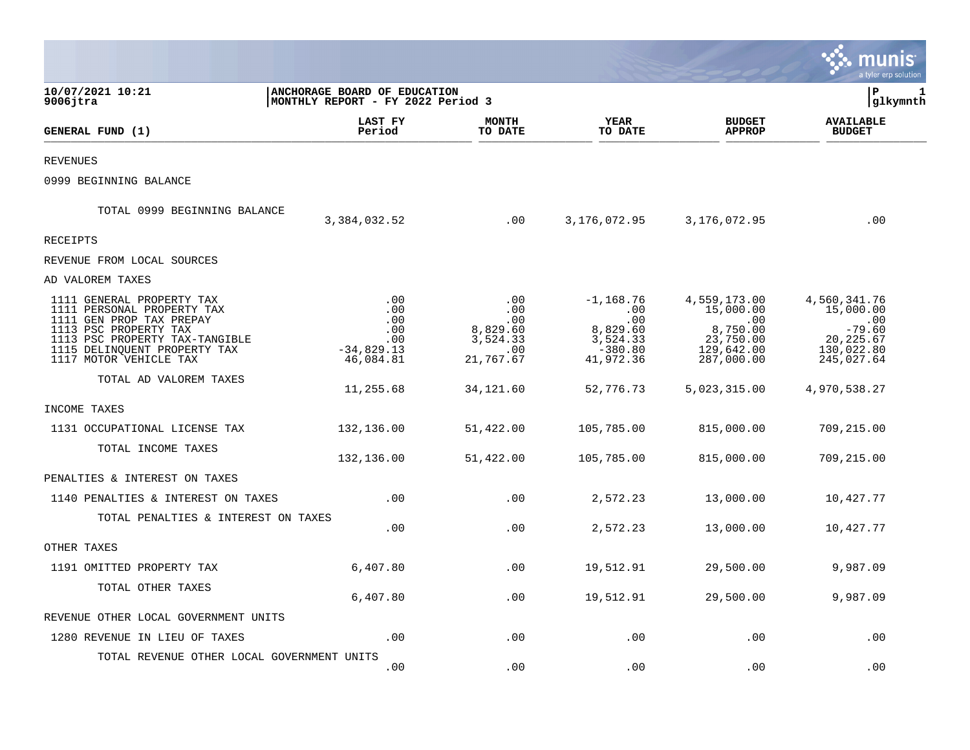|                                                                                                                                                                                                          |                                                                   |                                                               |                                                                              |                                                                                       | a tyler erp solution                                                                          |  |
|----------------------------------------------------------------------------------------------------------------------------------------------------------------------------------------------------------|-------------------------------------------------------------------|---------------------------------------------------------------|------------------------------------------------------------------------------|---------------------------------------------------------------------------------------|-----------------------------------------------------------------------------------------------|--|
| 10/07/2021 10:21<br>$9006$ jtra                                                                                                                                                                          | ANCHORAGE BOARD OF EDUCATION<br>MONTHLY REPORT - FY 2022 Period 3 |                                                               |                                                                              |                                                                                       |                                                                                               |  |
| GENERAL FUND (1)                                                                                                                                                                                         | LAST FY<br>Period                                                 | <b>MONTH</b><br>TO DATE                                       | <b>YEAR</b><br>TO DATE                                                       | <b>BUDGET</b><br><b>APPROP</b>                                                        | <b>AVAILABLE</b><br><b>BUDGET</b>                                                             |  |
| <b>REVENUES</b>                                                                                                                                                                                          |                                                                   |                                                               |                                                                              |                                                                                       |                                                                                               |  |
| 0999 BEGINNING BALANCE                                                                                                                                                                                   |                                                                   |                                                               |                                                                              |                                                                                       |                                                                                               |  |
| TOTAL 0999 BEGINNING BALANCE                                                                                                                                                                             | 3,384,032.52                                                      | .00                                                           | 3,176,072.95                                                                 | 3,176,072.95                                                                          | .00                                                                                           |  |
| RECEIPTS                                                                                                                                                                                                 |                                                                   |                                                               |                                                                              |                                                                                       |                                                                                               |  |
| REVENUE FROM LOCAL SOURCES                                                                                                                                                                               |                                                                   |                                                               |                                                                              |                                                                                       |                                                                                               |  |
| AD VALOREM TAXES                                                                                                                                                                                         |                                                                   |                                                               |                                                                              |                                                                                       |                                                                                               |  |
| 1111 GENERAL PROPERTY TAX<br>1111 PERSONAL PROPERTY TAX<br>1111 GEN PROP TAX PREPAY<br>1113 PSC PROPERTY TAX<br>1113 PSC PROPERTY TAX-TANGIBLE<br>1115 DELINQUENT PROPERTY TAX<br>1117 MOTOR VEHICLE TAX | .00<br>.00<br>.00<br>.00<br>.00<br>$-34,829.13$<br>46,084.81      | .00<br>.00<br>.00<br>8,829.60<br>3,524.33<br>.00<br>21,767.67 | $-1, 168.76$<br>.00<br>.00<br>8,829.60<br>3,524.33<br>$-380.80$<br>41,972.36 | 4,559,173.00<br>15,000.00<br>.00<br>8,750.00<br>23,750.00<br>129,642.00<br>287,000.00 | 4,560,341.76<br>15,000.00<br>$\cdot$ 00<br>$-79.60$<br>20, 225.67<br>130,022.80<br>245,027.64 |  |
| TOTAL AD VALOREM TAXES                                                                                                                                                                                   | 11,255.68                                                         | 34, 121.60                                                    | 52,776.73                                                                    | 5,023,315.00                                                                          | 4,970,538.27                                                                                  |  |
| INCOME TAXES                                                                                                                                                                                             |                                                                   |                                                               |                                                                              |                                                                                       |                                                                                               |  |
| 1131 OCCUPATIONAL LICENSE TAX                                                                                                                                                                            | 132,136.00                                                        | 51,422.00                                                     | 105,785.00                                                                   | 815,000.00                                                                            | 709,215.00                                                                                    |  |
| TOTAL INCOME TAXES                                                                                                                                                                                       | 132,136.00                                                        | 51,422.00                                                     | 105,785.00                                                                   | 815,000.00                                                                            | 709,215.00                                                                                    |  |
| PENALTIES & INTEREST ON TAXES                                                                                                                                                                            |                                                                   |                                                               |                                                                              |                                                                                       |                                                                                               |  |
| 1140 PENALTIES & INTEREST ON TAXES                                                                                                                                                                       | .00                                                               | .00                                                           | 2,572.23                                                                     | 13,000.00                                                                             | 10,427.77                                                                                     |  |
| TOTAL PENALTIES & INTEREST ON TAXES                                                                                                                                                                      | .00                                                               | .00                                                           | 2,572.23                                                                     | 13,000.00                                                                             | 10,427.77                                                                                     |  |
| OTHER TAXES                                                                                                                                                                                              |                                                                   |                                                               |                                                                              |                                                                                       |                                                                                               |  |
| 1191 OMITTED PROPERTY TAX                                                                                                                                                                                | 6,407.80                                                          | .00                                                           | 19,512.91                                                                    | 29,500.00                                                                             | 9,987.09                                                                                      |  |
| TOTAL OTHER TAXES                                                                                                                                                                                        | 6,407.80                                                          | .00                                                           | 19,512.91                                                                    | 29,500.00                                                                             | 9,987.09                                                                                      |  |
| REVENUE OTHER LOCAL GOVERNMENT UNITS                                                                                                                                                                     |                                                                   |                                                               |                                                                              |                                                                                       |                                                                                               |  |
| 1280 REVENUE IN LIEU OF TAXES                                                                                                                                                                            | .00                                                               | .00                                                           | .00                                                                          | .00                                                                                   | .00                                                                                           |  |
| TOTAL REVENUE OTHER LOCAL GOVERNMENT UNITS                                                                                                                                                               | .00                                                               | .00                                                           | .00                                                                          | .00                                                                                   | .00                                                                                           |  |

 $\mathcal{L}^{\text{max}}$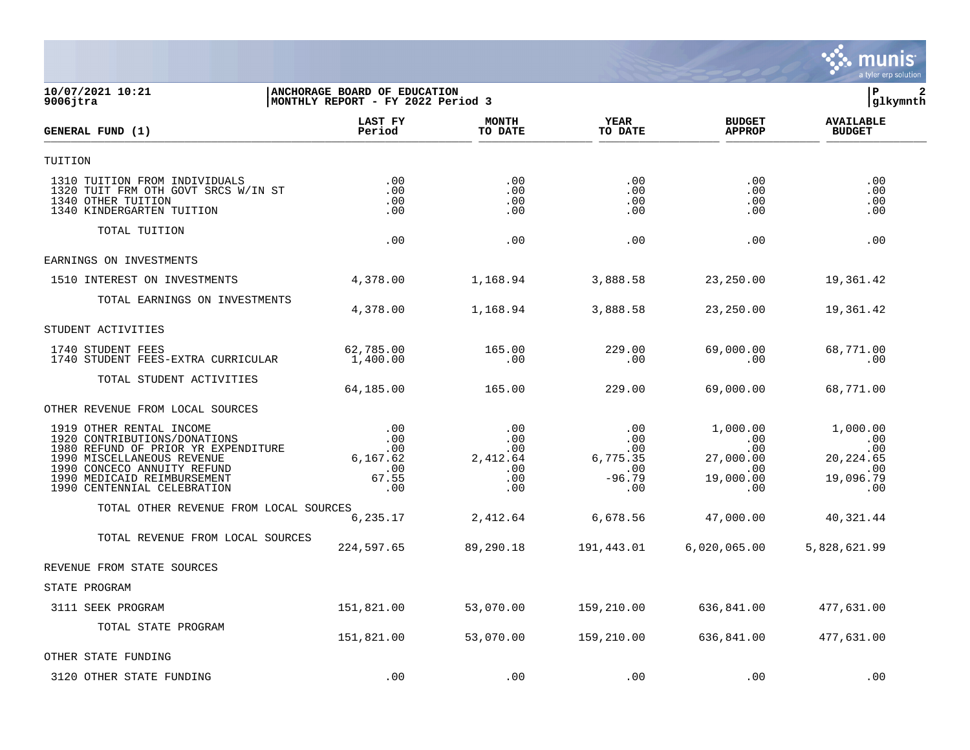

## **10/07/2021 10:21 |ANCHORAGE BOARD OF EDUCATION |P 2 9006jtra |MONTHLY REPORT - FY 2022 Period 3 |glkymnth**

| GENERAL FUND (1)                                                                                                                                                                                                           | LAST FY<br>Period                                          | <b>MONTH</b><br>TO DATE                            | <b>YEAR</b><br>TO DATE                                       | <b>BUDGET</b><br><b>APPROP</b>                                             | <b>AVAILABLE</b><br><b>BUDGET</b>                               |  |
|----------------------------------------------------------------------------------------------------------------------------------------------------------------------------------------------------------------------------|------------------------------------------------------------|----------------------------------------------------|--------------------------------------------------------------|----------------------------------------------------------------------------|-----------------------------------------------------------------|--|
| TUITION                                                                                                                                                                                                                    |                                                            |                                                    |                                                              |                                                                            |                                                                 |  |
| 1310 TUITION FROM INDIVIDUALS<br>1320 TUIT FRM OTH GOVT SRCS W/IN ST<br>1340 OTHER TUITION<br>1340 KINDERGARTEN TUITION                                                                                                    | .00<br>.00<br>.00<br>.00                                   | .00<br>.00<br>.00<br>.00                           | .00<br>$.00 \,$<br>.00<br>$.00 \,$                           | .00<br>$.00 \,$<br>.00<br>$.00 \,$                                         | .00<br>.00<br>.00<br>.00                                        |  |
| TOTAL TUITION                                                                                                                                                                                                              | .00                                                        | .00                                                | .00                                                          | .00                                                                        | .00                                                             |  |
| EARNINGS ON INVESTMENTS                                                                                                                                                                                                    |                                                            |                                                    |                                                              |                                                                            |                                                                 |  |
| 1510 INTEREST ON INVESTMENTS                                                                                                                                                                                               | 4,378.00                                                   | 1,168.94                                           | 3,888.58                                                     | 23,250.00                                                                  | 19,361.42                                                       |  |
| TOTAL EARNINGS ON INVESTMENTS                                                                                                                                                                                              | 4,378.00                                                   | 1,168.94                                           | 3,888.58                                                     | 23,250.00                                                                  | 19,361.42                                                       |  |
| STUDENT ACTIVITIES                                                                                                                                                                                                         |                                                            |                                                    |                                                              |                                                                            |                                                                 |  |
| 1740 STUDENT FEES<br>1740 STUDENT FEES-EXTRA CURRICULAR                                                                                                                                                                    | 62,785.00<br>1,400.00                                      | 165.00<br>.00                                      | 229.00<br>.00                                                | 69,000.00<br>.00                                                           | 68,771.00<br>.00                                                |  |
| TOTAL STUDENT ACTIVITIES                                                                                                                                                                                                   | 64,185.00                                                  | 165.00                                             | 229.00                                                       | 69,000.00                                                                  | 68,771.00                                                       |  |
| OTHER REVENUE FROM LOCAL SOURCES                                                                                                                                                                                           |                                                            |                                                    |                                                              |                                                                            |                                                                 |  |
| 1919 OTHER RENTAL INCOME<br>1920 CONTRIBUTIONS/DONATIONS<br>1980 REFUND OF PRIOR YR EXPENDITURE<br>1990 MISCELLANEOUS REVENUE<br>1990 CONCECO ANNUITY REFUND<br>1990 MEDICAID REIMBURSEMENT<br>1990 CENTENNIAL CELEBRATION | .00<br>$.00 \,$<br>.00<br>6, 167.62<br>.00<br>67.55<br>.00 | .00<br>.00<br>.00<br>2,412.64<br>.00<br>.00<br>.00 | .00<br>$.00 \,$<br>.00<br>6,775.35<br>.00<br>$-96.79$<br>.00 | 1,000.00<br>.00<br>.00<br>27,000.00<br>$.00 \ \,$<br>19,000.00<br>$.00 \,$ | 1,000.00<br>.00<br>.00<br>20, 224.65<br>.00<br>19,096.79<br>.00 |  |
| TOTAL OTHER REVENUE FROM LOCAL SOURCES                                                                                                                                                                                     | 6,235.17                                                   | 2,412.64                                           | 6,678.56                                                     | 47,000.00                                                                  | 40, 321.44                                                      |  |
| TOTAL REVENUE FROM LOCAL SOURCES                                                                                                                                                                                           | 224,597.65                                                 | 89,290.18                                          | 191,443.01                                                   | 6,020,065.00                                                               | 5,828,621.99                                                    |  |
| REVENUE FROM STATE SOURCES                                                                                                                                                                                                 |                                                            |                                                    |                                                              |                                                                            |                                                                 |  |
| STATE PROGRAM                                                                                                                                                                                                              |                                                            |                                                    |                                                              |                                                                            |                                                                 |  |
| 3111 SEEK PROGRAM                                                                                                                                                                                                          | 151,821.00                                                 | 53,070.00                                          | 159,210.00                                                   | 636,841.00                                                                 | 477,631.00                                                      |  |
| TOTAL STATE PROGRAM                                                                                                                                                                                                        | 151,821.00                                                 | 53,070.00                                          | 159,210.00                                                   | 636,841.00                                                                 | 477,631.00                                                      |  |
| OTHER STATE FUNDING                                                                                                                                                                                                        |                                                            |                                                    |                                                              |                                                                            |                                                                 |  |
| 3120 OTHER STATE FUNDING                                                                                                                                                                                                   | .00                                                        | .00                                                | .00                                                          | .00                                                                        | .00                                                             |  |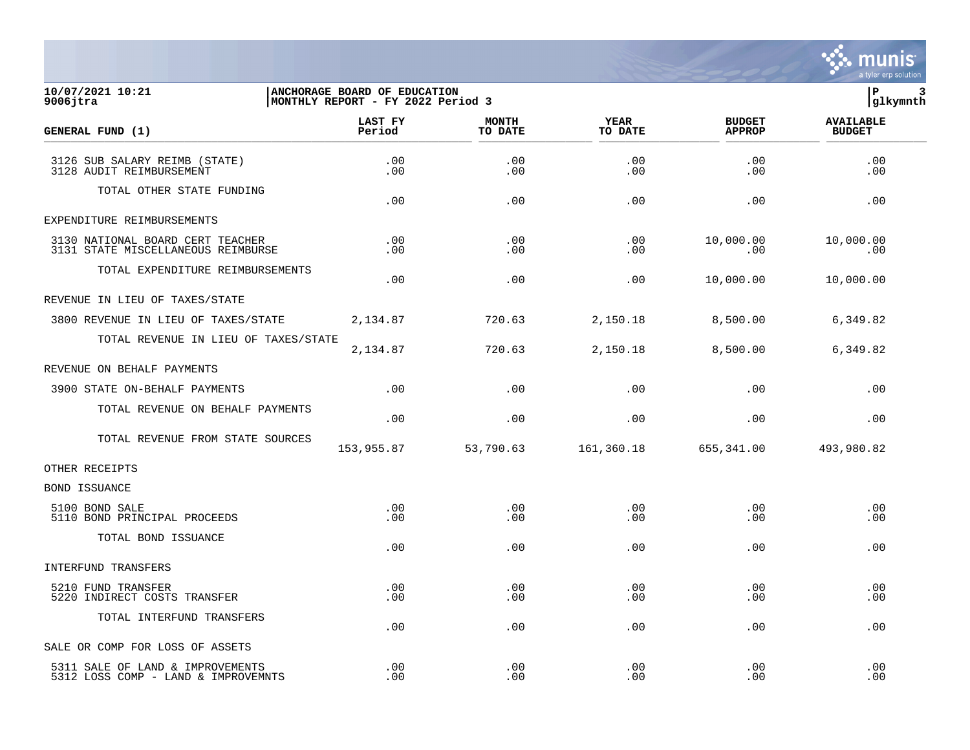

## **10/07/2021 10:21 |ANCHORAGE BOARD OF EDUCATION |P 3 9006jtra |MONTHLY REPORT - FY 2022 Period 3 |glkymnth**

| GENERAL FUND (1)                                                        | LAST FY<br>Period | <b>MONTH</b><br>TO DATE | <b>YEAR</b><br>TO DATE | <b>BUDGET</b><br><b>APPROP</b> | <b>AVAILABLE</b><br><b>BUDGET</b> |
|-------------------------------------------------------------------------|-------------------|-------------------------|------------------------|--------------------------------|-----------------------------------|
| 3126 SUB SALARY REIMB (STATE)<br>3128 AUDIT REIMBURSEMENT               | .00<br>.00        | .00<br>.00              | .00<br>.00             | .00<br>.00                     | .00<br>.00                        |
| TOTAL OTHER STATE FUNDING                                               | .00               | .00                     | .00                    | .00                            | .00                               |
| EXPENDITURE REIMBURSEMENTS                                              |                   |                         |                        |                                |                                   |
| 3130 NATIONAL BOARD CERT TEACHER<br>3131 STATE MISCELLANEOUS REIMBURSE  | .00<br>$.00 \,$   | .00<br>.00              | .00<br>.00             | 10,000.00<br>.00               | 10,000.00<br>.00                  |
| TOTAL EXPENDITURE REIMBURSEMENTS                                        | .00               | .00                     | .00                    | 10,000.00                      | 10,000.00                         |
| REVENUE IN LIEU OF TAXES/STATE                                          |                   |                         |                        |                                |                                   |
| 3800 REVENUE IN LIEU OF TAXES/STATE                                     | 2,134.87          | 720.63                  | 2,150.18               | 8,500.00                       | 6,349.82                          |
| TOTAL REVENUE IN LIEU OF TAXES/STATE                                    | 2,134.87          | 720.63                  | 2,150.18               | 8,500.00                       | 6,349.82                          |
| REVENUE ON BEHALF PAYMENTS                                              |                   |                         |                        |                                |                                   |
| 3900 STATE ON-BEHALF PAYMENTS                                           | .00               | .00                     | .00                    | .00                            | .00                               |
| TOTAL REVENUE ON BEHALF PAYMENTS                                        | .00               | .00                     | .00                    | .00                            | .00                               |
| TOTAL REVENUE FROM STATE SOURCES                                        | 153,955.87        | 53,790.63               | 161,360.18             | 655,341.00                     | 493,980.82                        |
| OTHER RECEIPTS                                                          |                   |                         |                        |                                |                                   |
| BOND ISSUANCE                                                           |                   |                         |                        |                                |                                   |
| 5100 BOND SALE<br>5110 BOND PRINCIPAL PROCEEDS                          | $.00 \ \,$<br>.00 | .00<br>.00              | .00<br>.00             | .00<br>.00                     | .00<br>.00                        |
| TOTAL BOND ISSUANCE                                                     | .00               | .00                     | .00                    | .00                            | .00                               |
| INTERFUND TRANSFERS                                                     |                   |                         |                        |                                |                                   |
| 5210 FUND TRANSFER<br>5220 INDIRECT COSTS TRANSFER                      | .00<br>.00        | .00<br>.00              | .00<br>.00             | .00<br>.00                     | .00<br>.00                        |
| TOTAL INTERFUND TRANSFERS                                               | .00               | .00                     | .00                    | .00                            | .00                               |
| SALE OR COMP FOR LOSS OF ASSETS                                         |                   |                         |                        |                                |                                   |
| 5311 SALE OF LAND & IMPROVEMENTS<br>5312 LOSS COMP - LAND & IMPROVEMNTS | .00<br>.00        | .00<br>.00              | .00<br>.00             | .00<br>.00                     | .00<br>.00                        |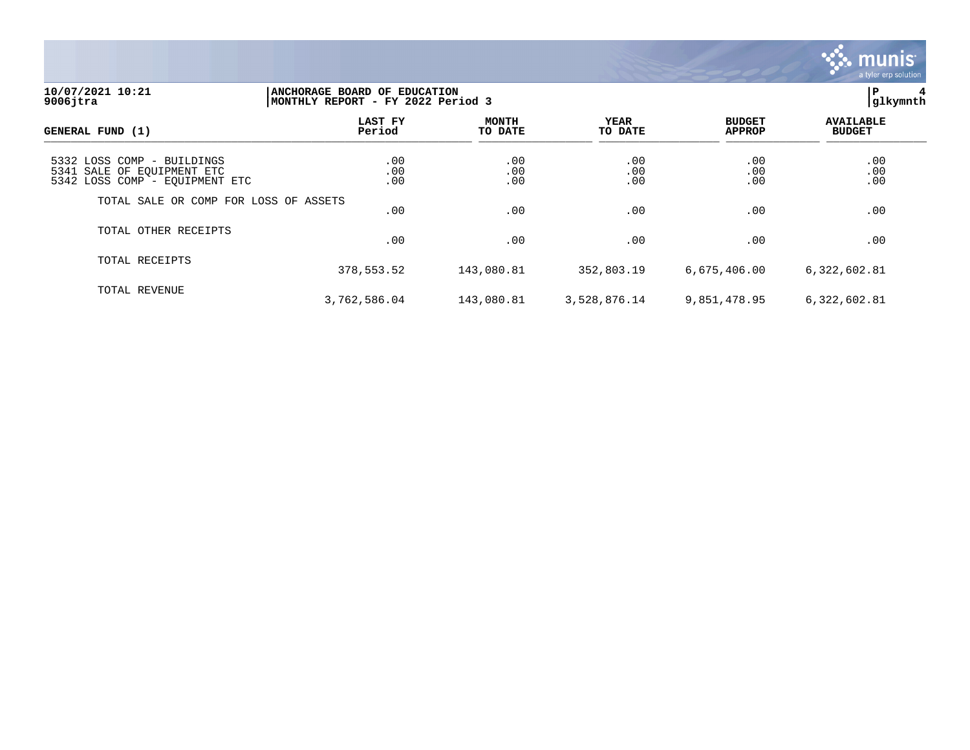

## **10/07/2021 10:21 |ANCHORAGE BOARD OF EDUCATION |P 4 9006jtra |MONTHLY REPORT - FY 2022 Period 3 |glkymnth**

| GENERAL FUND (1)                                                                           | LAST FY<br>Period | <b>MONTH</b><br>TO DATE | YEAR<br>TO DATE   | <b>BUDGET</b><br><b>APPROP</b> | <b>AVAILABLE</b><br><b>BUDGET</b> |
|--------------------------------------------------------------------------------------------|-------------------|-------------------------|-------------------|--------------------------------|-----------------------------------|
| 5332 LOSS COMP - BUILDINGS<br>5341 SALE OF EQUIPMENT ETC<br>5342 LOSS COMP - EQUIPMENT ETC | .00<br>.00<br>.00 | .00<br>.00<br>.00       | .00<br>.00<br>.00 | .00<br>.00<br>.00              | .00<br>.00<br>.00                 |
| TOTAL SALE OR COMP FOR LOSS OF ASSETS                                                      | .00               | .00                     | .00               | .00                            | .00                               |
| TOTAL OTHER RECEIPTS                                                                       | .00               | .00                     | .00               | .00                            | .00                               |
| TOTAL RECEIPTS                                                                             | 378,553.52        | 143,080.81              | 352,803.19        | 6,675,406.00                   | 6,322,602.81                      |
| TOTAL REVENUE                                                                              | 3,762,586.04      | 143,080.81              | 3,528,876.14      | 9,851,478.95                   | 6,322,602.81                      |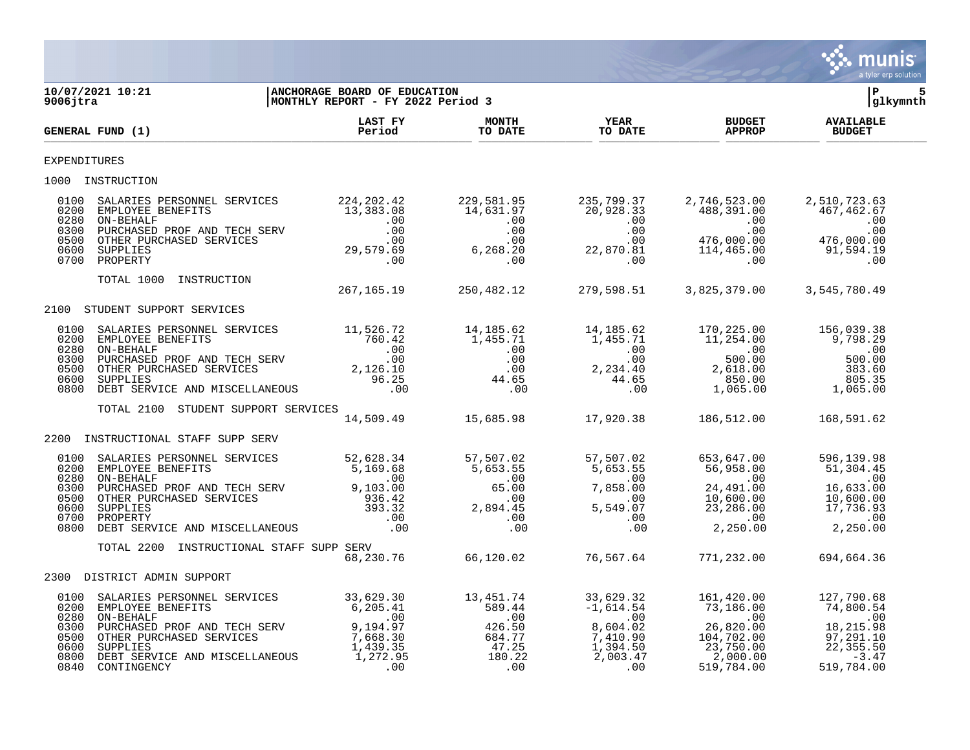

| 9006jtra                                     | 10/07/2021 10:21                                                                                                                                                                                                                                                                                                                                                                  | ANCHORAGE BOARD OF EDUCATION<br>MONTHLY REPORT - FY 2022 Period 3           |                                                                             |  | lР<br> glkymnth |  |
|----------------------------------------------|-----------------------------------------------------------------------------------------------------------------------------------------------------------------------------------------------------------------------------------------------------------------------------------------------------------------------------------------------------------------------------------|-----------------------------------------------------------------------------|-----------------------------------------------------------------------------|--|-----------------|--|
|                                              | GENERAL FUND (1)                                                                                                                                                                                                                                                                                                                                                                  | LAST FY MONTH YEAR BUDGET AVAILABLE<br>Period TO DATE TO DATE APPROP BUDGET |                                                                             |  |                 |  |
| <b>EXPENDITURES</b>                          |                                                                                                                                                                                                                                                                                                                                                                                   |                                                                             |                                                                             |  |                 |  |
|                                              | 1000 INSTRUCTION                                                                                                                                                                                                                                                                                                                                                                  |                                                                             |                                                                             |  |                 |  |
| 0100<br>0200<br>0280<br>0300<br>0500<br>0600 | 3ALARIES PERSONNEL SERVICES<br>EMPLOYEE BENEFITS 13,383.08 14,631.97 20,928.33 488,391.00 2,510,723.63<br>ON-BEHALF 20,928.33 488,391.00 10<br>DURCHASED PROF AND TECH SERV<br>CON-BEHALF 29,579.00 00 00 00 00 00 00 00 00<br>OTHER PUR<br>0700 PROPERTY                                                                                                                         |                                                                             |                                                                             |  |                 |  |
|                                              | TOTAL 1000 INSTRUCTION                                                                                                                                                                                                                                                                                                                                                            |                                                                             |                                                                             |  |                 |  |
|                                              | 2100 STUDENT SUPPORT SERVICES                                                                                                                                                                                                                                                                                                                                                     |                                                                             |                                                                             |  |                 |  |
|                                              |                                                                                                                                                                                                                                                                                                                                                                                   |                                                                             |                                                                             |  |                 |  |
| 0100<br>0200<br>0280<br>0300                 | $\begin{tabular}{lcccccc} \texttt{SALARIES PERSONREL} & \texttt{SERSONNEL} & \texttt{SERVICES} & & & & & & 11,526.72 & & & 14,185.62 & & & 14,185.62 & & & 170,225.00 & & & 156,039.38 \\ \texttt{EMPLOYEE BENEFTTS} & & & & & & & 760.42 & & & 1,455.71 & & & 11,254.00 & & 9,798.29 \\ \texttt{ON-BEHALLF} & & & & & & & .00 & & & & .00 & & & \\ \texttt{DIRCHASED PROF AND T$ |                                                                             |                                                                             |  |                 |  |
| 0500<br>0600<br>0800                         |                                                                                                                                                                                                                                                                                                                                                                                   |                                                                             |                                                                             |  |                 |  |
|                                              | TOTAL 2100 STUDENT SUPPORT SERVICES                                                                                                                                                                                                                                                                                                                                               | ر 14,509.49 15,685.98 17,920.38 186,512.00 168,591.62                       |                                                                             |  |                 |  |
| 2200                                         | INSTRUCTIONAL STAFF SUPP SERV                                                                                                                                                                                                                                                                                                                                                     |                                                                             |                                                                             |  |                 |  |
| 0100<br>0200<br>0280                         |                                                                                                                                                                                                                                                                                                                                                                                   |                                                                             |                                                                             |  |                 |  |
| 0300<br>0500<br>0600<br>0700                 | 3ALARIES PERSONNEL SERVICES<br>EMPLOYEE BENEFITS 52,628.34<br>ON-BEHALF SERVICES 5,159.68<br>ON-BEHALF SERVICE SERVICES 5,169.68<br>ON-BEHALF SERVICE SERVICES 936.42<br>OTHER PURCHASED SERVICES 936.42<br>OTHER PURCHASED SERVICES 936.4                                                                                                                                        |                                                                             |                                                                             |  |                 |  |
| 0800                                         |                                                                                                                                                                                                                                                                                                                                                                                   |                                                                             |                                                                             |  |                 |  |
|                                              | TOTAL 2200 INSTRUCTIONAL STAFF SUPP SERV                                                                                                                                                                                                                                                                                                                                          |                                                                             | SERV<br>68,230.76     66,120.02     76,567.64     771,232.00     694,664.36 |  |                 |  |
|                                              | 2300 DISTRICT ADMIN SUPPORT                                                                                                                                                                                                                                                                                                                                                       |                                                                             |                                                                             |  |                 |  |
| 0100<br>0200<br>0280                         |                                                                                                                                                                                                                                                                                                                                                                                   |                                                                             |                                                                             |  |                 |  |
| 0300<br>0500<br>0600<br>0800<br>0840         | 33,629.30<br>EMPLOYEE BENEFITS ERVICES 33,629.30<br>EMPLOYEE BENEFITS 6,205.41<br>ON-BEHALF .00 .00 .00 .00 .00 .00<br>PURCHASED PROF AND TECH SERV<br>OTHER PURCHASED SERVICES 7,668.30<br>OTHER PURCHASED SERVICES 7,668.30<br>OTHER PURCH                                                                                                                                      |                                                                             |                                                                             |  |                 |  |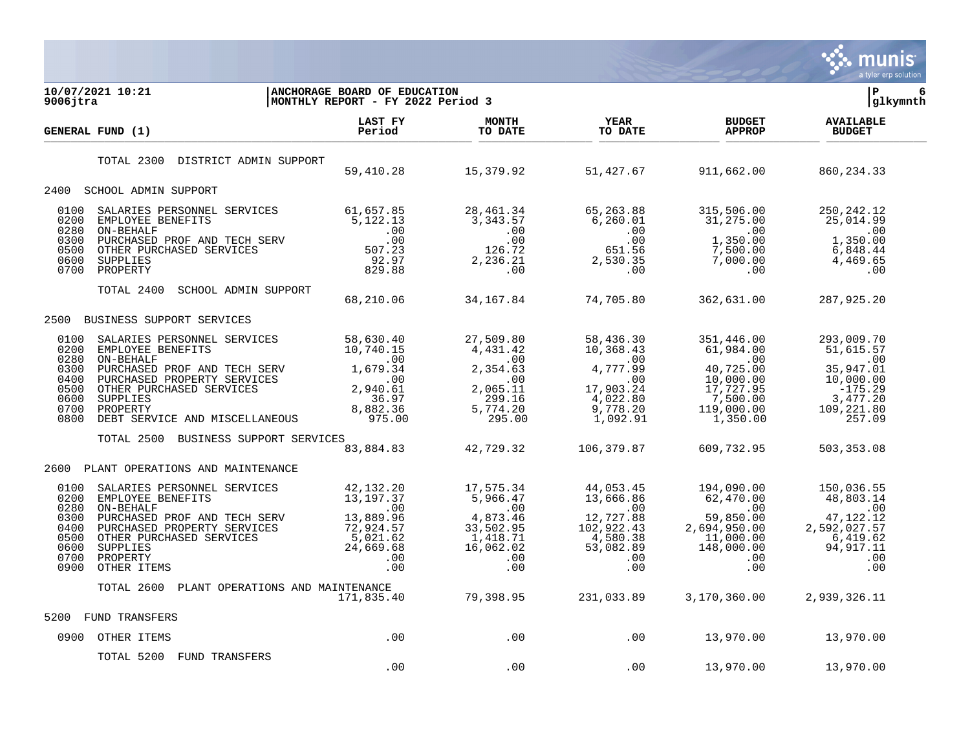

| 10/07/2021 10:21<br>ANCHORAGE BOARD OF EDUCATION<br>MONTHLY REPORT - FY 2022 Period 3<br>$9006$ jtra                                                                                                                                                                                                                                          |                                                                                                                                                                                                                                                                                                                                                         |                                                                                                                                                                                                                                                                                                          |                        | lР<br>6<br> glkymnth                                                                                                              |                                                                                                                 |
|-----------------------------------------------------------------------------------------------------------------------------------------------------------------------------------------------------------------------------------------------------------------------------------------------------------------------------------------------|---------------------------------------------------------------------------------------------------------------------------------------------------------------------------------------------------------------------------------------------------------------------------------------------------------------------------------------------------------|----------------------------------------------------------------------------------------------------------------------------------------------------------------------------------------------------------------------------------------------------------------------------------------------------------|------------------------|-----------------------------------------------------------------------------------------------------------------------------------|-----------------------------------------------------------------------------------------------------------------|
| GENERAL FUND (1)                                                                                                                                                                                                                                                                                                                              | LAST FY<br>Period                                                                                                                                                                                                                                                                                                                                       | <b>MONTH</b><br>TO DATE                                                                                                                                                                                                                                                                                  | <b>YEAR</b><br>TO DATE | <b>BUDGET</b><br><b>APPROP</b>                                                                                                    | <b>AVAILABLE</b><br><b>BUDGET</b>                                                                               |
| DISTRICT ADMIN SUPPORT<br>TOTAL 2300                                                                                                                                                                                                                                                                                                          |                                                                                                                                                                                                                                                                                                                                                         | 59,410.28 15,379.92 51,427.67 911,662.00                                                                                                                                                                                                                                                                 |                        |                                                                                                                                   | 860, 234.33                                                                                                     |
| 2400 SCHOOL ADMIN SUPPORT                                                                                                                                                                                                                                                                                                                     |                                                                                                                                                                                                                                                                                                                                                         |                                                                                                                                                                                                                                                                                                          |                        |                                                                                                                                   |                                                                                                                 |
| 0100<br>0200<br>0280<br>0300<br>0500<br>0600<br>0700                                                                                                                                                                                                                                                                                          |                                                                                                                                                                                                                                                                                                                                                         |                                                                                                                                                                                                                                                                                                          |                        | $1,350.00$<br>$7,500.00$<br>$\begin{smallmatrix} \text{0} & 0 & 0 & 0 \\ 0 & 0 & 0 & 0 \\ \text{0} & 0 & 0 & 0 \end{smallmatrix}$ | 250, 242. 12<br>25,014.99<br>$\sim 00$<br>1,350.00<br>6,848.44<br>4,469.65<br>.00                               |
| TOTAL 2400<br>SCHOOL ADMIN SUPPORT                                                                                                                                                                                                                                                                                                            |                                                                                                                                                                                                                                                                                                                                                         | 68,210.06 34,167.84 74,705.80                                                                                                                                                                                                                                                                            |                        | 362,631.00                                                                                                                        | 287,925.20                                                                                                      |
| BUSINESS SUPPORT SERVICES<br>2500                                                                                                                                                                                                                                                                                                             |                                                                                                                                                                                                                                                                                                                                                         |                                                                                                                                                                                                                                                                                                          |                        |                                                                                                                                   |                                                                                                                 |
| 0100<br>0200<br>0280<br>0300<br>0400<br>0500<br>0600<br>0700<br>0800                                                                                                                                                                                                                                                                          | $\begin{tabular}{l c c c c c c} \texttt{SLARIES} & \texttt{BERSONNEL} & \texttt{SERVICES} & \texttt{58,630.40} & \texttt{27,509.80} & \texttt{58,436.30} & \texttt{351,446.00} \\ \texttt{EMPDVEE} & \texttt{BENEFITS} & 10,740.15 & 4,431.42 & 10,368.43 & 61,984.00 \\ \texttt{ON-BEHALE} & 0.0 & 0.00 & 0.00 & 0.00 \\ \texttt{DURCHASED} & \texttt$ |                                                                                                                                                                                                                                                                                                          |                        |                                                                                                                                   | 293,009.70<br>51,615.57<br>$\sim 00$<br>35,947.01<br>10,000.00<br>$-175.29$<br>3,477.20<br>109,221.80<br>257.09 |
| TOTAL 2500                                                                                                                                                                                                                                                                                                                                    | BUSINESS SUPPORT SERVICES                                                                                                                                                                                                                                                                                                                               | $\overset{6}{8}3,884.83$ 42,729.32                                                                                                                                                                                                                                                                       | 106,379.87             | 609,732.95                                                                                                                        | 503,353.08                                                                                                      |
| PLANT OPERATIONS AND MAINTENANCE<br>2600                                                                                                                                                                                                                                                                                                      |                                                                                                                                                                                                                                                                                                                                                         |                                                                                                                                                                                                                                                                                                          |                        |                                                                                                                                   |                                                                                                                 |
| SALARIES PERSONNEL SERVICES<br>0100<br>0200<br>EMPLOYEE BENEFITS<br>0280<br>ON-BEHALF<br>00 .<br>PURCHASED PROF AND TECH SERV 13,889.96<br>PURCHASED PROPERTY SERVICES 72,924.57<br>OTHER PURCHASED SERVICES 5,021.62<br>SUPPLIES 24,669.68<br>PROPERTY .00<br>OTHER ITEMS .00<br>0300<br>0400<br>0500<br>0600<br>0700<br>0900<br>OTHER ITEMS | 42,132.20                                                                                                                                                                                                                                                                                                                                               | $\begin{array}{cccccc} \texttt{12,132.20} & & & & & & 17,575.34 & & & & 44,053.45 & & & 194,090.00 \\ 13,197.37 & & & 5,966.47 & & & 13,666.86 & & & 62,470.00 \\ .00 & & & & & & .00 & & & .00 \\ 13,889.96 & & & 4,873.46 & & & 12,727.88 & & & 59,850.00 \\ 72,924.57 & & 33,502.95 & & 102,922.43 &$ |                        |                                                                                                                                   | 150,036.55<br>48,803.14<br>$\sim$ 00<br>47,122.12<br>2,592,027.57<br>6,419.62<br>$94, 2 + $<br>00.<br>.00       |
| TOTAL 2600                                                                                                                                                                                                                                                                                                                                    | PLANT OPERATIONS AND MAINTENANCE<br>171,835.40                                                                                                                                                                                                                                                                                                          | 79,398.95  231,033.89  3,170,360.00  2,939,326.11                                                                                                                                                                                                                                                        |                        |                                                                                                                                   |                                                                                                                 |
| 5200<br>FUND TRANSFERS                                                                                                                                                                                                                                                                                                                        |                                                                                                                                                                                                                                                                                                                                                         |                                                                                                                                                                                                                                                                                                          |                        |                                                                                                                                   |                                                                                                                 |
| 0900 OTHER ITEMS                                                                                                                                                                                                                                                                                                                              | .00                                                                                                                                                                                                                                                                                                                                                     | $\sim$ 00                                                                                                                                                                                                                                                                                                | .00 13,970.00          |                                                                                                                                   | 13,970.00                                                                                                       |
| TOTAL 5200 FUND TRANSFERS                                                                                                                                                                                                                                                                                                                     | .00                                                                                                                                                                                                                                                                                                                                                     | .00                                                                                                                                                                                                                                                                                                      | .00                    | 13,970.00                                                                                                                         | 13,970.00                                                                                                       |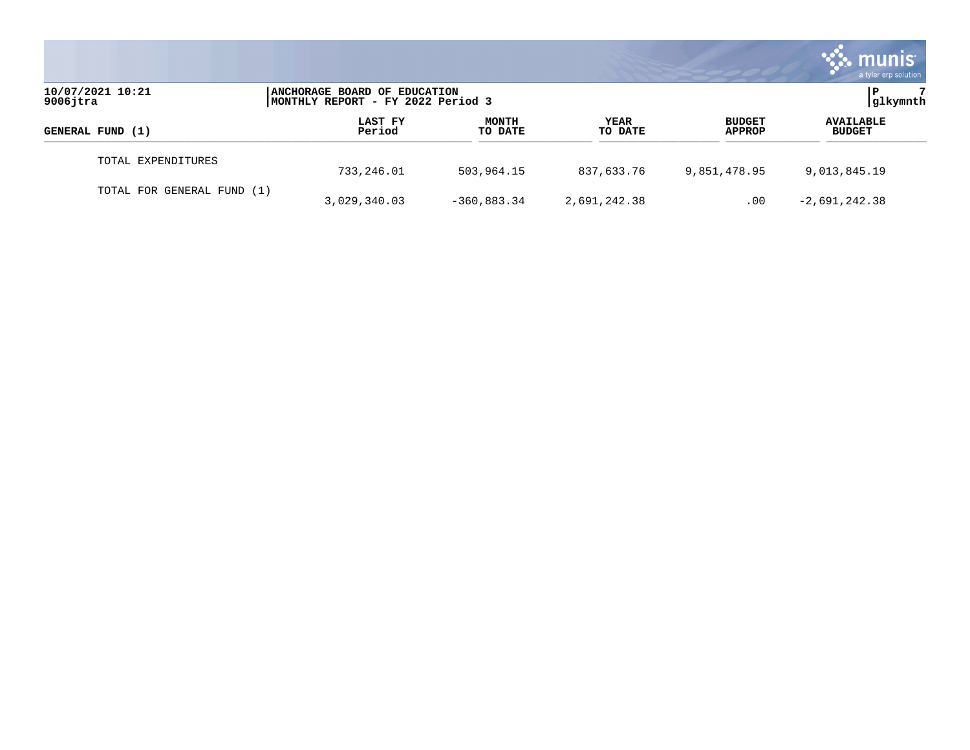|                                 |                                                                   |                         |                        |                                | munis<br>a tyler erp solution     |
|---------------------------------|-------------------------------------------------------------------|-------------------------|------------------------|--------------------------------|-----------------------------------|
| 10/07/2021 10:21<br>$9006$ jtra | ANCHORAGE BOARD OF EDUCATION<br>MONTHLY REPORT - FY 2022 Period 3 |                         |                        |                                | glkymnth                          |
| GENERAL FUND (1)                | LAST FY<br>Period                                                 | <b>MONTH</b><br>TO DATE | <b>YEAR</b><br>TO DATE | <b>BUDGET</b><br><b>APPROP</b> | <b>AVAILABLE</b><br><b>BUDGET</b> |
| TOTAL EXPENDITURES              | 733,246.01                                                        | 503,964.15              | 837,633.76             | 9,851,478.95                   | 9,013,845.19                      |
| TOTAL FOR GENERAL FUND (1)      | 3,029,340.03                                                      | $-360,883.34$           | 2,691,242.38           | .00                            | $-2,691,242.38$                   |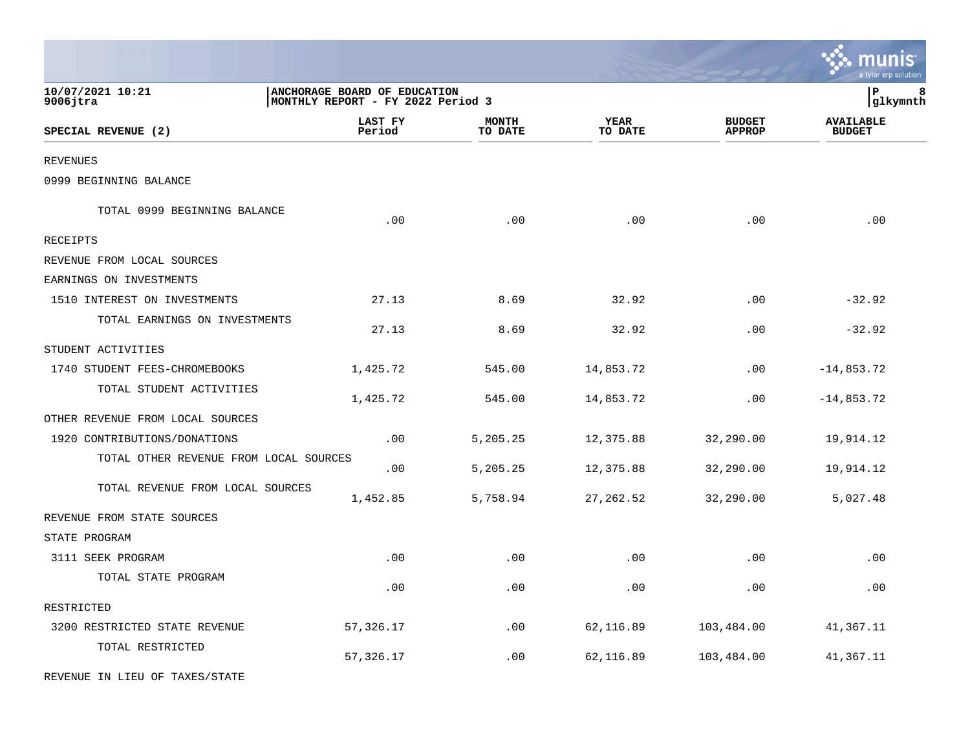|                                        |                                                                   |                         |                        |                                | munis <sup>.</sup><br>a tyler erp solution |
|----------------------------------------|-------------------------------------------------------------------|-------------------------|------------------------|--------------------------------|--------------------------------------------|
| 10/07/2021 10:21<br>$9006$ jtra        | ANCHORAGE BOARD OF EDUCATION<br>MONTHLY REPORT - FY 2022 Period 3 |                         |                        |                                | P<br>8<br> glkymnth                        |
| SPECIAL REVENUE (2)                    | LAST FY<br>Period                                                 | <b>MONTH</b><br>TO DATE | <b>YEAR</b><br>TO DATE | <b>BUDGET</b><br><b>APPROP</b> | <b>AVAILABLE</b><br><b>BUDGET</b>          |
| <b>REVENUES</b>                        |                                                                   |                         |                        |                                |                                            |
| 0999 BEGINNING BALANCE                 |                                                                   |                         |                        |                                |                                            |
| TOTAL 0999 BEGINNING BALANCE           | .00                                                               | .00                     | .00                    | .00                            | .00                                        |
| RECEIPTS                               |                                                                   |                         |                        |                                |                                            |
| REVENUE FROM LOCAL SOURCES             |                                                                   |                         |                        |                                |                                            |
| EARNINGS ON INVESTMENTS                |                                                                   |                         |                        |                                |                                            |
| 1510 INTEREST ON INVESTMENTS           | 27.13                                                             | 8.69                    | 32.92                  | .00                            | $-32.92$                                   |
| TOTAL EARNINGS ON INVESTMENTS          | 27.13                                                             | 8.69                    | 32.92                  | .00                            | $-32.92$                                   |
| STUDENT ACTIVITIES                     |                                                                   |                         |                        |                                |                                            |
| 1740 STUDENT FEES-CHROMEBOOKS          | 1,425.72                                                          | 545.00                  | 14,853.72              | .00                            | $-14,853.72$                               |
| TOTAL STUDENT ACTIVITIES               | 1,425.72                                                          | 545.00                  | 14,853.72              | .00                            | $-14,853.72$                               |
| OTHER REVENUE FROM LOCAL SOURCES       |                                                                   |                         |                        |                                |                                            |
| 1920 CONTRIBUTIONS/DONATIONS           | .00                                                               | 5,205.25                | 12,375.88              | 32,290.00                      | 19,914.12                                  |
| TOTAL OTHER REVENUE FROM LOCAL SOURCES | .00                                                               | 5,205.25                | 12,375.88              | 32,290.00                      | 19,914.12                                  |
| TOTAL REVENUE FROM LOCAL SOURCES       | 1,452.85                                                          | 5,758.94                | 27, 262.52             | 32,290.00                      | 5,027.48                                   |
| REVENUE FROM STATE SOURCES             |                                                                   |                         |                        |                                |                                            |
| STATE PROGRAM                          |                                                                   |                         |                        |                                |                                            |
| 3111 SEEK PROGRAM                      | .00                                                               | .00                     | .00                    | .00                            | .00                                        |
| TOTAL STATE PROGRAM                    | .00                                                               | .00                     | .00                    | .00                            | .00                                        |
| RESTRICTED                             |                                                                   |                         |                        |                                |                                            |
| 3200 RESTRICTED STATE REVENUE          | 57,326.17                                                         | .00                     | 62,116.89              | 103,484.00                     | 41,367.11                                  |
| TOTAL RESTRICTED                       | 57,326.17                                                         | .00                     | 62,116.89              | 103,484.00                     | 41,367.11                                  |
| REVENUE IN LIEU OF TAXES/STATE         |                                                                   |                         |                        |                                |                                            |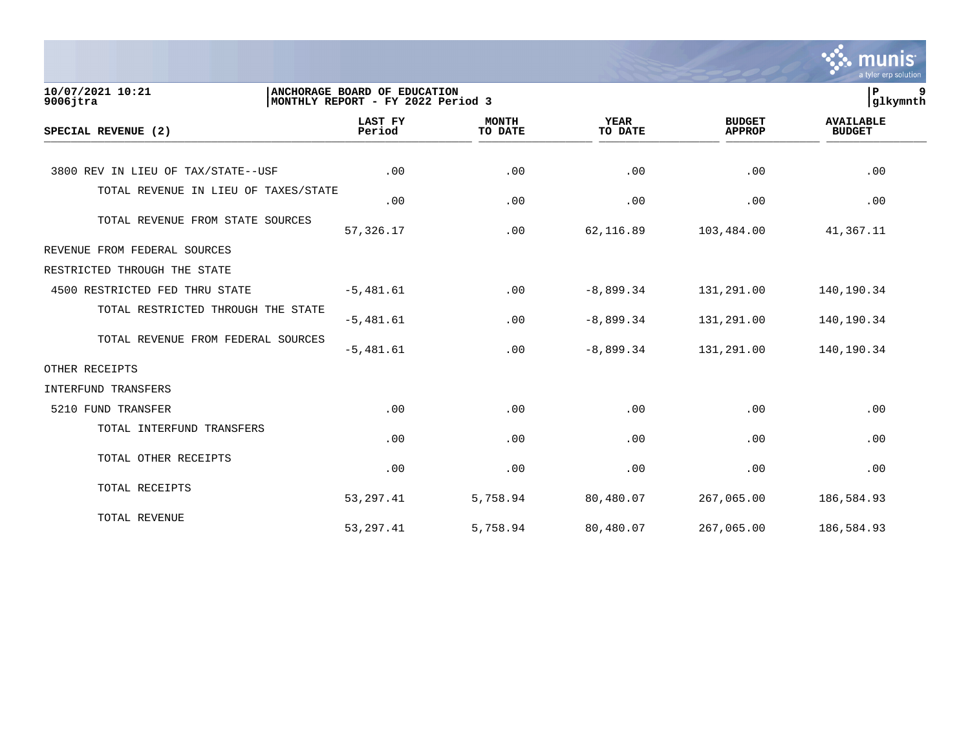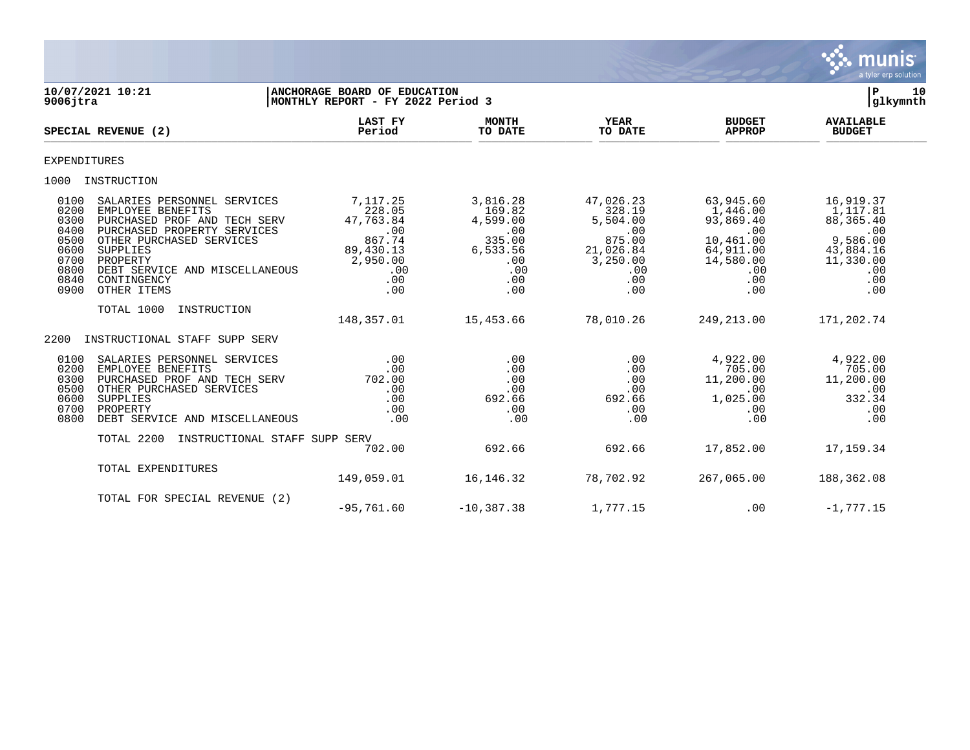

| 10/07/2021 10:21<br>$9006$ jtra                                                                                                                                                                                                                                                                                     | <b>ANCHORAGE BOARD OF EDUCATION</b><br>MONTHLY REPORT - FY 2022 Period 3                       |                                                                                         |                                                                                                |                                                                                                       | 10<br>Р<br> glkymnth                                                                                 |
|---------------------------------------------------------------------------------------------------------------------------------------------------------------------------------------------------------------------------------------------------------------------------------------------------------------------|------------------------------------------------------------------------------------------------|-----------------------------------------------------------------------------------------|------------------------------------------------------------------------------------------------|-------------------------------------------------------------------------------------------------------|------------------------------------------------------------------------------------------------------|
| SPECIAL REVENUE (2)                                                                                                                                                                                                                                                                                                 | <b>LAST FY</b><br>Period                                                                       | <b>MONTH</b><br>TO DATE                                                                 | YEAR<br>TO DATE                                                                                | <b>BUDGET</b><br><b>APPROP</b>                                                                        | <b>AVAILABLE</b><br><b>BUDGET</b>                                                                    |
| EXPENDITURES                                                                                                                                                                                                                                                                                                        |                                                                                                |                                                                                         |                                                                                                |                                                                                                       |                                                                                                      |
| 1000 INSTRUCTION                                                                                                                                                                                                                                                                                                    |                                                                                                |                                                                                         |                                                                                                |                                                                                                       |                                                                                                      |
| 0100<br>SALARIES PERSONNEL SERVICES<br>0200<br>EMPLOYEE BENEFITS<br>0300<br>PURCHASED PROF AND TECH SERV<br>0400<br>PURCHASED PROPERTY SERVICES<br>0500<br>OTHER PURCHASED SERVICES<br>0600<br>SUPPLIES<br>0700<br>PROPERTY<br>0800<br>DEBT SERVICE AND MISCELLANEOUS<br>0840<br>CONTINGENCY<br>0900<br>OTHER ITEMS | 7,117.25<br>228.05<br>47,763.84<br>.00<br>867.74<br>89,430.13<br>2,950.00<br>.00<br>.00<br>.00 | 3,816.28<br>169.82<br>4,599.00<br>.00<br>335.00<br>6,533.56<br>.00<br>.00<br>.00<br>.00 | 47,026.23<br>328.19<br>5,504.00<br>.00<br>875.00<br>21,026.84<br>3,250.00<br>.00<br>.00<br>.00 | 63,945.60<br>1,446.00<br>93,869.40<br>.00<br>10,461.00<br>64,911.00<br>14,580.00<br>.00<br>.00<br>.00 | 16,919.37<br>1,117.81<br>88,365.40<br>.00<br>9,586.00<br>43,884.16<br>11,330.00<br>.00<br>.00<br>.00 |
| INSTRUCTION<br>TOTAL 1000                                                                                                                                                                                                                                                                                           | 148,357.01                                                                                     | 15,453.66                                                                               | 78,010.26                                                                                      | 249,213.00                                                                                            | 171,202.74                                                                                           |
| 2200<br>INSTRUCTIONAL STAFF SUPP SERV                                                                                                                                                                                                                                                                               |                                                                                                |                                                                                         |                                                                                                |                                                                                                       |                                                                                                      |
| 0100<br>SALARIES PERSONNEL SERVICES<br>0200<br>EMPLOYEE BENEFITS<br>0300<br>PURCHASED PROF AND TECH SERV<br>0500<br>OTHER PURCHASED SERVICES<br>0600<br>SUPPLIES<br>0700<br>PROPERTY<br>0800<br>DEBT SERVICE AND MISCELLANEOUS                                                                                      | .00<br>.00<br>702.00<br>.00<br>.00<br>.00<br>.00                                               | .00<br>.00<br>.00<br>.00<br>692.66<br>.00<br>.00                                        | .00<br>.00<br>.00<br>.00<br>692.66<br>.00<br>.00                                               | 4,922.00<br>705.00<br>11,200.00<br>$.00 \,$<br>1,025.00<br>.00<br>.00                                 | 4,922.00<br>705.00<br>11,200.00<br>.00<br>332.34<br>.00<br>.00                                       |
| TOTAL 2200                                                                                                                                                                                                                                                                                                          | INSTRUCTIONAL STAFF SUPP SERV<br>702.00                                                        | 692.66                                                                                  | 692.66                                                                                         | 17,852.00                                                                                             | 17,159.34                                                                                            |
| TOTAL EXPENDITURES                                                                                                                                                                                                                                                                                                  | 149,059.01                                                                                     | 16,146.32                                                                               | 78,702.92                                                                                      | 267,065.00                                                                                            | 188,362.08                                                                                           |
| TOTAL FOR SPECIAL REVENUE (2)                                                                                                                                                                                                                                                                                       | $-95,761.60$                                                                                   | $-10, 387.38$                                                                           | 1,777.15                                                                                       | $.00 \,$                                                                                              | $-1,777.15$                                                                                          |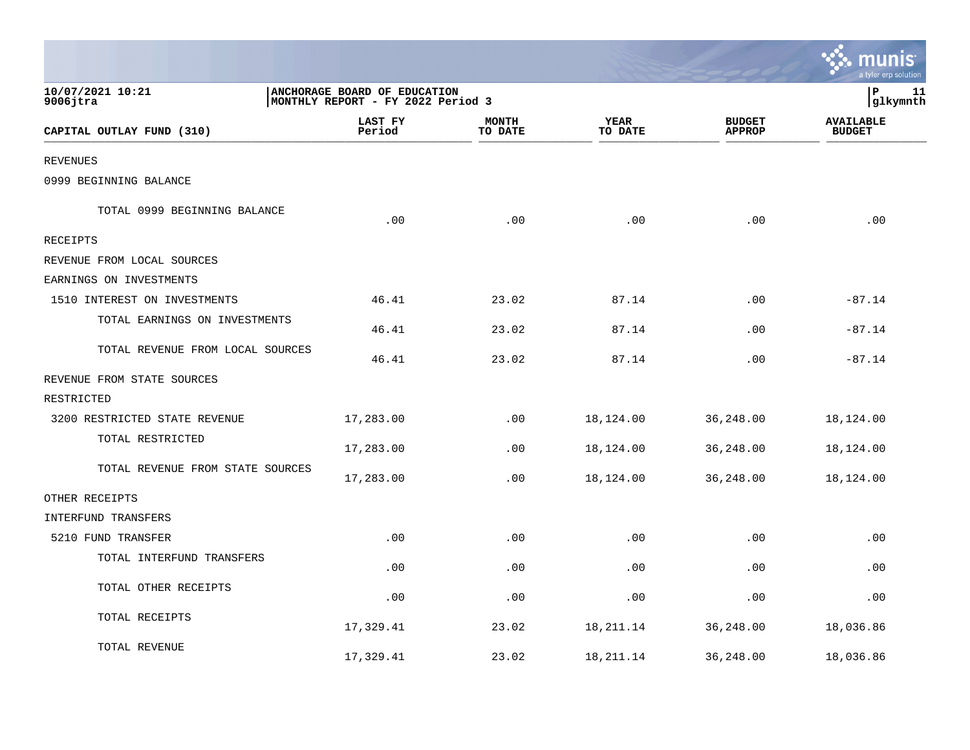|                                  |                                                                   |                         |                        |                                | munis<br>a tyler erp solution     |
|----------------------------------|-------------------------------------------------------------------|-------------------------|------------------------|--------------------------------|-----------------------------------|
| 10/07/2021 10:21<br>$9006$ jtra  | ANCHORAGE BOARD OF EDUCATION<br>MONTHLY REPORT - FY 2022 Period 3 |                         |                        |                                | lР<br>11<br> glkymnth             |
| CAPITAL OUTLAY FUND (310)        | LAST FY<br>Period                                                 | <b>MONTH</b><br>TO DATE | <b>YEAR</b><br>TO DATE | <b>BUDGET</b><br><b>APPROP</b> | <b>AVAILABLE</b><br><b>BUDGET</b> |
| <b>REVENUES</b>                  |                                                                   |                         |                        |                                |                                   |
| 0999 BEGINNING BALANCE           |                                                                   |                         |                        |                                |                                   |
| TOTAL 0999 BEGINNING BALANCE     | .00                                                               | .00                     | .00                    | .00                            | .00                               |
| RECEIPTS                         |                                                                   |                         |                        |                                |                                   |
| REVENUE FROM LOCAL SOURCES       |                                                                   |                         |                        |                                |                                   |
| EARNINGS ON INVESTMENTS          |                                                                   |                         |                        |                                |                                   |
| 1510 INTEREST ON INVESTMENTS     | 46.41                                                             | 23.02                   | 87.14                  | .00                            | $-87.14$                          |
| TOTAL EARNINGS ON INVESTMENTS    | 46.41                                                             | 23.02                   | 87.14                  | .00                            | $-87.14$                          |
| TOTAL REVENUE FROM LOCAL SOURCES | 46.41                                                             | 23.02                   | 87.14                  | .00                            | $-87.14$                          |
| REVENUE FROM STATE SOURCES       |                                                                   |                         |                        |                                |                                   |
| RESTRICTED                       |                                                                   |                         |                        |                                |                                   |
| 3200 RESTRICTED STATE REVENUE    | 17,283.00                                                         | .00                     | 18,124.00              | 36,248.00                      | 18,124.00                         |
| TOTAL RESTRICTED                 | 17,283.00                                                         | .00                     | 18,124.00              | 36,248.00                      | 18,124.00                         |
| TOTAL REVENUE FROM STATE SOURCES | 17,283.00                                                         | .00                     | 18,124.00              | 36,248.00                      | 18,124.00                         |
| OTHER RECEIPTS                   |                                                                   |                         |                        |                                |                                   |
| INTERFUND TRANSFERS              |                                                                   |                         |                        |                                |                                   |
| 5210 FUND TRANSFER               | .00                                                               | .00                     | .00                    | .00                            | .00                               |
| TOTAL INTERFUND TRANSFERS        | .00                                                               | .00                     | .00                    | .00                            | .00                               |
| TOTAL OTHER RECEIPTS             | .00                                                               | .00                     | .00                    | .00                            | .00                               |
| TOTAL RECEIPTS                   | 17,329.41                                                         | 23.02                   | 18,211.14              | 36,248.00                      | 18,036.86                         |
| TOTAL REVENUE                    | 17,329.41                                                         | 23.02                   | 18, 211. 14            | 36,248.00                      | 18,036.86                         |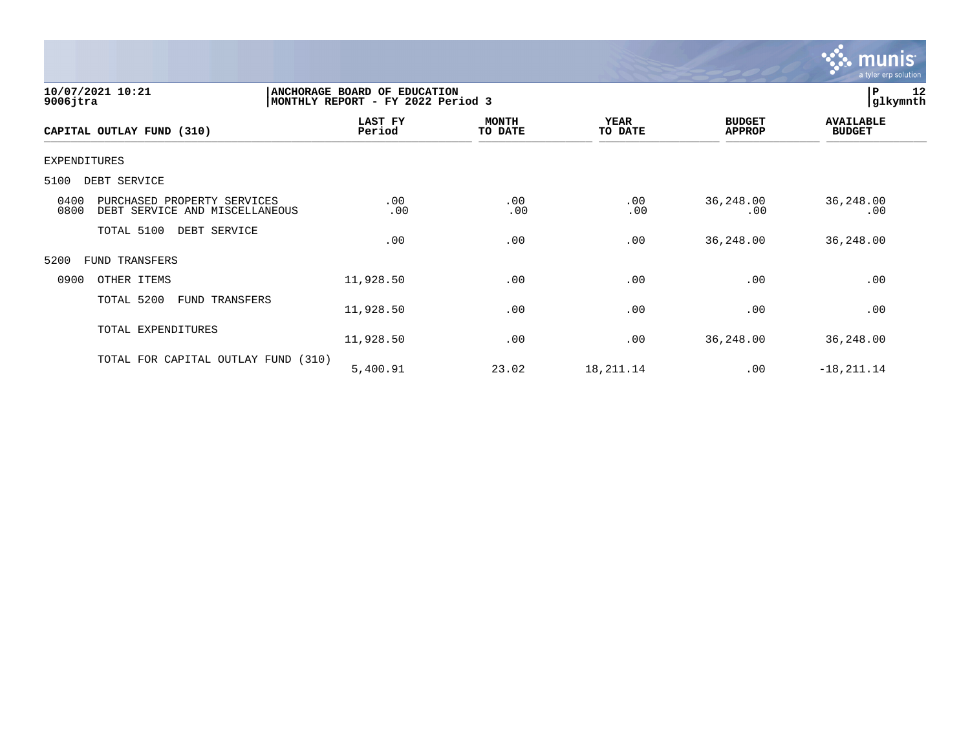

| 10/07/2021 10:21<br>$9006$ jtra                                               | ANCHORAGE BOARD OF EDUCATION<br>MONTHLY REPORT - FY 2022 Period 3 | 12<br> P<br> glkymnth   |                        |                                |                                   |
|-------------------------------------------------------------------------------|-------------------------------------------------------------------|-------------------------|------------------------|--------------------------------|-----------------------------------|
| CAPITAL OUTLAY FUND (310)                                                     | LAST FY<br>Period                                                 | <b>MONTH</b><br>TO DATE | <b>YEAR</b><br>TO DATE | <b>BUDGET</b><br><b>APPROP</b> | <b>AVAILABLE</b><br><b>BUDGET</b> |
| <b>EXPENDITURES</b>                                                           |                                                                   |                         |                        |                                |                                   |
| 5100<br>DEBT SERVICE                                                          |                                                                   |                         |                        |                                |                                   |
| 0400<br>PURCHASED PROPERTY SERVICES<br>0800<br>DEBT SERVICE AND MISCELLANEOUS | .00<br>.00                                                        | .00<br>.00              | .00<br>.00             | 36,248.00<br>.00               | 36,248.00<br>.00                  |
| TOTAL 5100<br>DEBT SERVICE                                                    | .00                                                               | .00                     | .00                    | 36, 248.00                     | 36,248.00                         |
| 5200<br>FUND TRANSFERS                                                        |                                                                   |                         |                        |                                |                                   |
| 0900<br>OTHER ITEMS                                                           | 11,928.50                                                         | .00                     | .00                    | .00                            | .00                               |
| TOTAL 5200<br>FUND TRANSFERS                                                  | 11,928.50                                                         | .00                     | .00                    | .00                            | .00                               |
| TOTAL EXPENDITURES                                                            | 11,928.50                                                         | .00                     | .00                    | 36, 248.00                     | 36,248.00                         |
| TOTAL FOR CAPITAL OUTLAY FUND (310)                                           | 5,400.91                                                          | 23.02                   | 18,211.14              | .00                            | $-18, 211.14$                     |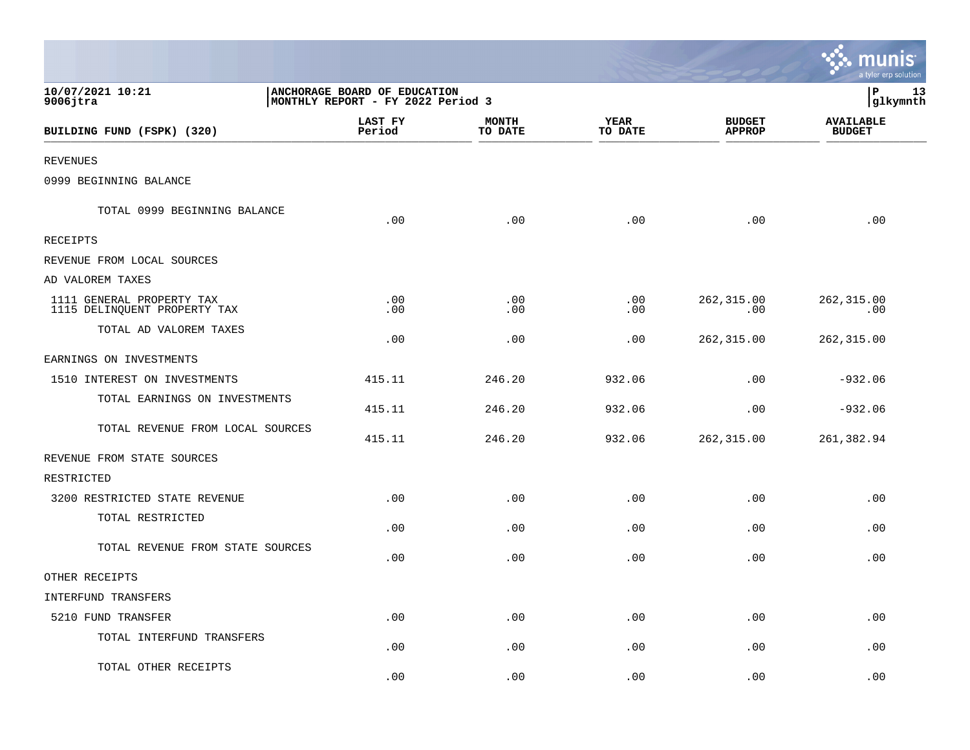|                                                           |                                                                   |                         |                             |                                | munis<br>a tyler erp solution     |
|-----------------------------------------------------------|-------------------------------------------------------------------|-------------------------|-----------------------------|--------------------------------|-----------------------------------|
| 10/07/2021 10:21<br>$9006$ jtra                           | ANCHORAGE BOARD OF EDUCATION<br>MONTHLY REPORT - FY 2022 Period 3 | P<br>13<br>glkymnth     |                             |                                |                                   |
| BUILDING FUND (FSPK) (320)                                | LAST FY<br>Period                                                 | <b>MONTH</b><br>TO DATE | <b>YEAR</b><br>TO DATE      | <b>BUDGET</b><br><b>APPROP</b> | <b>AVAILABLE</b><br><b>BUDGET</b> |
| <b>REVENUES</b>                                           |                                                                   |                         |                             |                                |                                   |
| 0999 BEGINNING BALANCE                                    |                                                                   |                         |                             |                                |                                   |
| TOTAL 0999 BEGINNING BALANCE                              | .00                                                               | .00                     | .00                         | .00                            | .00                               |
| RECEIPTS                                                  |                                                                   |                         |                             |                                |                                   |
| REVENUE FROM LOCAL SOURCES                                |                                                                   |                         |                             |                                |                                   |
| AD VALOREM TAXES                                          |                                                                   |                         |                             |                                |                                   |
| 1111 GENERAL PROPERTY TAX<br>1115 DELINQUENT PROPERTY TAX | .00<br>.00                                                        | .00<br>.00              | $.00 \,$<br>.00             | 262, 315.00<br>.00             | 262,315.00<br>.00                 |
| TOTAL AD VALOREM TAXES                                    | .00                                                               | .00                     | .00                         | 262,315.00                     | 262, 315.00                       |
| EARNINGS ON INVESTMENTS                                   |                                                                   |                         |                             |                                |                                   |
| 1510 INTEREST ON INVESTMENTS                              | 415.11                                                            | 246.20                  | 932.06                      | .00                            | $-932.06$                         |
| TOTAL EARNINGS ON INVESTMENTS                             | 415.11                                                            | 246.20                  | 932.06                      | .00                            | $-932.06$                         |
| TOTAL REVENUE FROM LOCAL SOURCES                          | 415.11                                                            | 246.20                  | 932.06                      | 262,315.00                     | 261,382.94                        |
| REVENUE FROM STATE SOURCES                                |                                                                   |                         |                             |                                |                                   |
| RESTRICTED                                                |                                                                   |                         |                             |                                |                                   |
| 3200 RESTRICTED STATE REVENUE                             | .00                                                               | .00                     | .00                         | .00                            | .00                               |
| TOTAL RESTRICTED                                          | .00                                                               | .00                     | .00                         | .00                            | .00                               |
| TOTAL REVENUE FROM STATE SOURCES                          | .00                                                               | .00                     | .00                         | .00                            | .00                               |
| OTHER RECEIPTS                                            |                                                                   |                         |                             |                                |                                   |
| INTERFUND TRANSFERS                                       |                                                                   |                         |                             |                                |                                   |
| 5210 FUND TRANSFER                                        | .00                                                               | .00                     | $\boldsymbol{\mathsf{.00}}$ | .00                            | .00                               |
| TOTAL INTERFUND TRANSFERS                                 | .00                                                               | .00                     | .00                         | .00                            | .00                               |
| TOTAL OTHER RECEIPTS                                      | .00                                                               | .00                     | .00                         | .00                            | .00                               |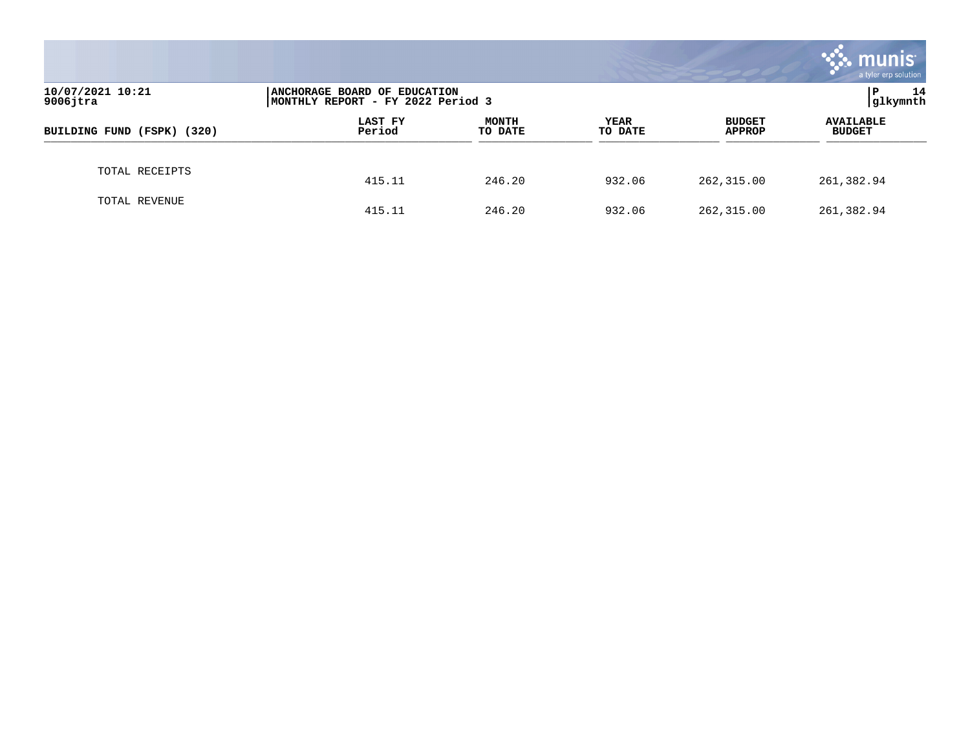|                                 |                                                                   |                         |                        |                                | munis<br>a tyler erp solution     |  |
|---------------------------------|-------------------------------------------------------------------|-------------------------|------------------------|--------------------------------|-----------------------------------|--|
| 10/07/2021 10:21<br>$9006$ jtra | ANCHORAGE BOARD OF EDUCATION<br>MONTHLY REPORT - FY 2022 Period 3 |                         |                        |                                | 14<br>P<br> glkymnth              |  |
| BUILDING FUND (FSPK) (320)      | LAST FY<br>Period                                                 | <b>MONTH</b><br>TO DATE | <b>YEAR</b><br>TO DATE | <b>BUDGET</b><br><b>APPROP</b> | <b>AVAILABLE</b><br><b>BUDGET</b> |  |
| TOTAL RECEIPTS                  | 415.11                                                            | 246.20                  | 932.06                 | 262,315.00                     | 261,382.94                        |  |
| TOTAL REVENUE                   | 415.11                                                            | 246.20                  | 932.06                 | 262,315.00                     | 261,382.94                        |  |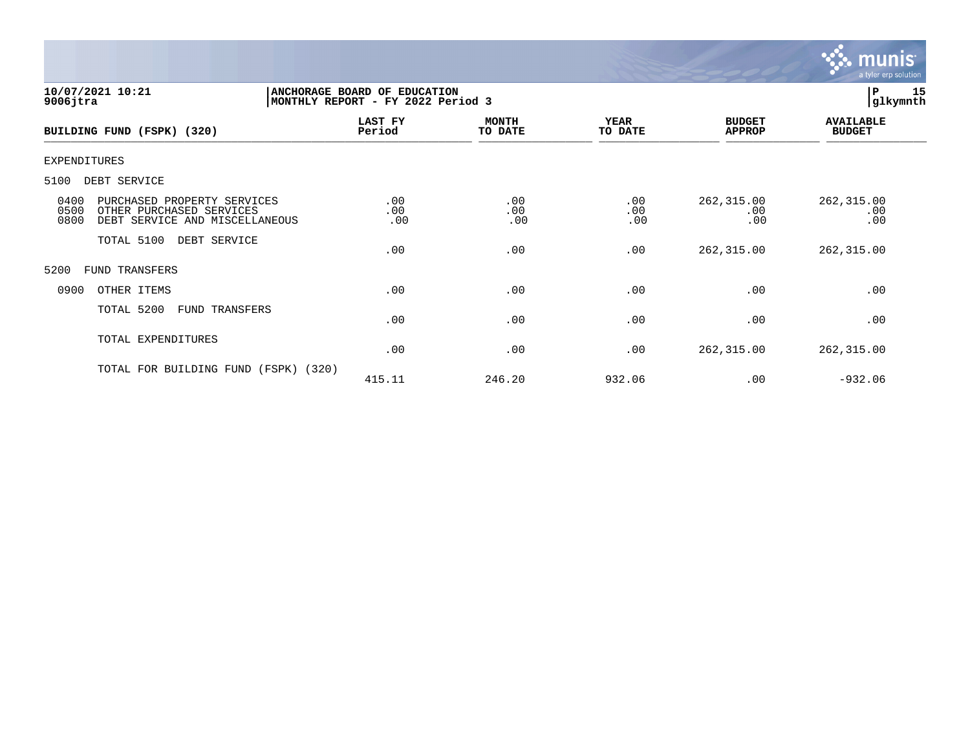

| 10/07/2021 10:21<br>$9006$ jtra                                                                                   | ANCHORAGE BOARD OF EDUCATION<br>MONTHLY REPORT - FY 2022 Period 3 | 15<br>lР<br> glkymnth   |                        |                                |                                   |  |
|-------------------------------------------------------------------------------------------------------------------|-------------------------------------------------------------------|-------------------------|------------------------|--------------------------------|-----------------------------------|--|
| BUILDING FUND (FSPK) (320)                                                                                        | LAST FY<br>Period                                                 | <b>MONTH</b><br>TO DATE | <b>YEAR</b><br>TO DATE | <b>BUDGET</b><br><b>APPROP</b> | <b>AVAILABLE</b><br><b>BUDGET</b> |  |
| <b>EXPENDITURES</b>                                                                                               |                                                                   |                         |                        |                                |                                   |  |
| 5100<br>DEBT SERVICE                                                                                              |                                                                   |                         |                        |                                |                                   |  |
| 0400<br>PURCHASED PROPERTY SERVICES<br>0500<br>OTHER PURCHASED SERVICES<br>0800<br>DEBT SERVICE AND MISCELLANEOUS | .00<br>.00<br>.00                                                 | .00<br>.00<br>.00       | .00<br>.00<br>.00      | 262,315.00<br>.00<br>.00       | 262,315.00<br>.00<br>.00          |  |
| TOTAL 5100<br>DEBT SERVICE                                                                                        | .00                                                               | .00                     | .00                    | 262,315.00                     | 262,315.00                        |  |
| 5200<br><b>FUND TRANSFERS</b>                                                                                     |                                                                   |                         |                        |                                |                                   |  |
| 0900<br>OTHER ITEMS                                                                                               | .00                                                               | .00                     | .00                    | .00                            | .00                               |  |
| TOTAL 5200<br>FUND TRANSFERS                                                                                      | .00                                                               | .00                     | .00                    | .00                            | .00                               |  |
| TOTAL EXPENDITURES                                                                                                | .00                                                               | .00                     | .00                    | 262,315.00                     | 262, 315.00                       |  |
| TOTAL FOR BUILDING FUND<br>(320)<br>(FSPK)                                                                        | 415.11                                                            | 246.20                  | 932.06                 | .00                            | $-932.06$                         |  |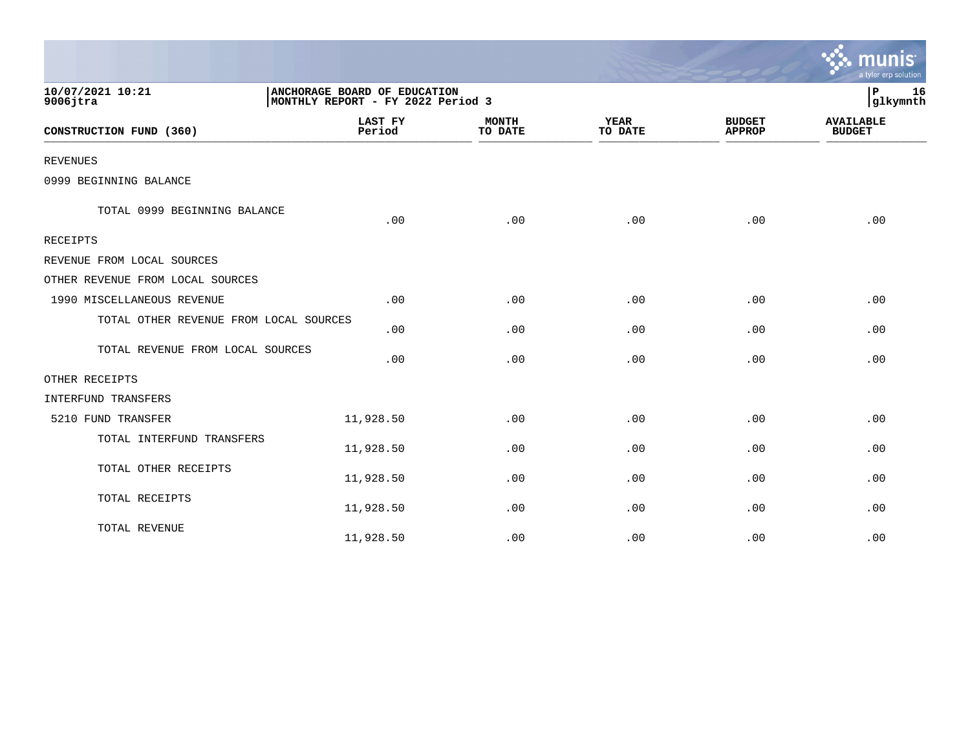|                                        |                          |                                                                   |                        |                                | a tyler erp solution              |  |
|----------------------------------------|--------------------------|-------------------------------------------------------------------|------------------------|--------------------------------|-----------------------------------|--|
| 10/07/2021 10:21<br>$9006$ jtra        |                          | ANCHORAGE BOARD OF EDUCATION<br>MONTHLY REPORT - FY 2022 Period 3 |                        |                                |                                   |  |
| CONSTRUCTION FUND (360)                | <b>LAST FY</b><br>Period | <b>MONTH</b><br>TO DATE                                           | <b>YEAR</b><br>TO DATE | <b>BUDGET</b><br><b>APPROP</b> | <b>AVAILABLE</b><br><b>BUDGET</b> |  |
| <b>REVENUES</b>                        |                          |                                                                   |                        |                                |                                   |  |
| 0999 BEGINNING BALANCE                 |                          |                                                                   |                        |                                |                                   |  |
| TOTAL 0999 BEGINNING BALANCE           | .00                      | .00                                                               | .00                    | .00                            | .00                               |  |
| <b>RECEIPTS</b>                        |                          |                                                                   |                        |                                |                                   |  |
| REVENUE FROM LOCAL SOURCES             |                          |                                                                   |                        |                                |                                   |  |
| OTHER REVENUE FROM LOCAL SOURCES       |                          |                                                                   |                        |                                |                                   |  |
| 1990 MISCELLANEOUS REVENUE             | .00                      | .00                                                               | .00                    | .00                            | .00                               |  |
| TOTAL OTHER REVENUE FROM LOCAL SOURCES | .00                      | .00                                                               | .00                    | .00                            | .00                               |  |
| TOTAL REVENUE FROM LOCAL SOURCES       | .00                      | .00                                                               | .00                    | .00                            | .00                               |  |
| OTHER RECEIPTS                         |                          |                                                                   |                        |                                |                                   |  |
| INTERFUND TRANSFERS                    |                          |                                                                   |                        |                                |                                   |  |
| 5210 FUND TRANSFER                     | 11,928.50                | .00                                                               | .00                    | .00                            | .00                               |  |
| TOTAL INTERFUND TRANSFERS              | 11,928.50                | .00                                                               | .00                    | .00                            | .00                               |  |
| TOTAL OTHER RECEIPTS                   | 11,928.50                | .00                                                               | .00                    | .00                            | .00                               |  |
| TOTAL RECEIPTS                         | 11,928.50                | .00                                                               | .00                    | .00                            | .00                               |  |
| TOTAL REVENUE                          | 11,928.50                | .00                                                               | .00                    | .00                            | .00                               |  |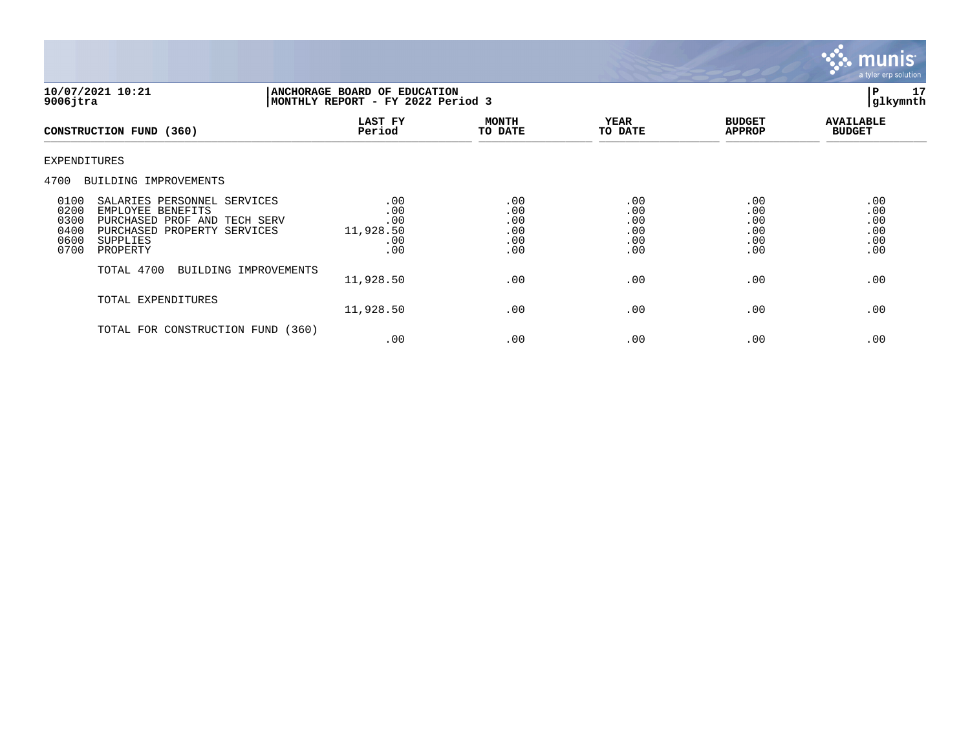

| 10/07/2021 10:21<br>$9006$ jtra                                                                                                                                                            | ANCHORAGE BOARD OF EDUCATION<br>MONTHLY REPORT - FY 2022 Period 3 | 17<br>IΡ<br> glkymnth                  |                                        |                                        |                                        |
|--------------------------------------------------------------------------------------------------------------------------------------------------------------------------------------------|-------------------------------------------------------------------|----------------------------------------|----------------------------------------|----------------------------------------|----------------------------------------|
| CONSTRUCTION FUND (360)                                                                                                                                                                    | LAST FY<br>Period                                                 | <b>MONTH</b><br>TO DATE                | YEAR<br>TO DATE                        | <b>BUDGET</b><br><b>APPROP</b>         | <b>AVAILABLE</b><br><b>BUDGET</b>      |
| EXPENDITURES                                                                                                                                                                               |                                                                   |                                        |                                        |                                        |                                        |
| 4700<br>BUILDING IMPROVEMENTS                                                                                                                                                              |                                                                   |                                        |                                        |                                        |                                        |
| 0100<br>SALARIES PERSONNEL SERVICES<br>0200<br>EMPLOYEE BENEFITS<br>0300<br>PURCHASED PROF AND TECH SERV<br>0400<br>PURCHASED<br>PROPERTY SERVICES<br>0600<br>SUPPLIES<br>0700<br>PROPERTY | .00<br>.00<br>.00<br>11,928.50<br>.00<br>.00                      | .00<br>.00<br>.00<br>.00<br>.00<br>.00 | .00<br>.00<br>.00<br>.00<br>.00<br>.00 | .00<br>.00<br>.00<br>.00<br>.00<br>.00 | .00<br>.00<br>.00<br>.00<br>.00<br>.00 |
| TOTAL 4700<br>BUILDING IMPROVEMENTS                                                                                                                                                        | 11,928.50                                                         | .00                                    | .00                                    | .00                                    | .00                                    |
| TOTAL EXPENDITURES                                                                                                                                                                         | 11,928.50                                                         | .00                                    | .00                                    | .00                                    | .00                                    |
| TOTAL FOR CONSTRUCTION FUND                                                                                                                                                                | (360)<br>.00                                                      | .00                                    | .00                                    | .00                                    | .00                                    |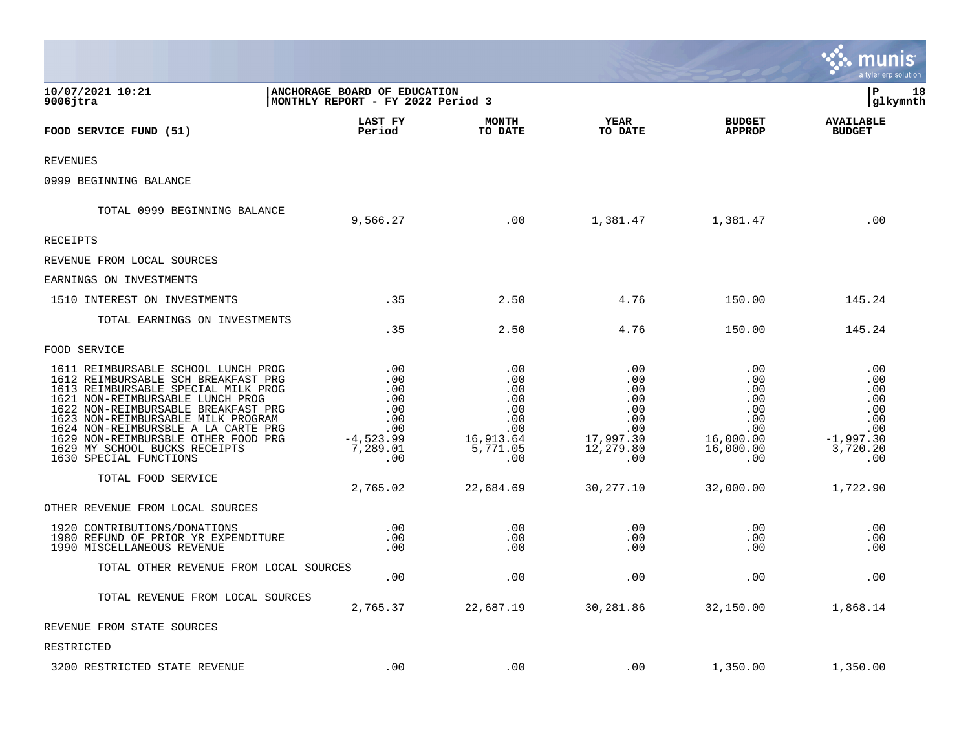|                                                                                                                                                                                                                                                                                                                                                                             |                                                                                 |                                                                               |                                                                                     |                                                                                | a tyler erp solution                                                            |
|-----------------------------------------------------------------------------------------------------------------------------------------------------------------------------------------------------------------------------------------------------------------------------------------------------------------------------------------------------------------------------|---------------------------------------------------------------------------------|-------------------------------------------------------------------------------|-------------------------------------------------------------------------------------|--------------------------------------------------------------------------------|---------------------------------------------------------------------------------|
| 10/07/2021 10:21<br>$9006$ jtra                                                                                                                                                                                                                                                                                                                                             | ANCHORAGE BOARD OF EDUCATION<br>MONTHLY REPORT - FY 2022 Period 3               |                                                                               |                                                                                     |                                                                                | P<br>18<br>glkymnth                                                             |
| FOOD SERVICE FUND (51)                                                                                                                                                                                                                                                                                                                                                      | LAST FY<br>Period                                                               | <b>MONTH</b><br>TO DATE                                                       | YEAR<br>TO DATE                                                                     | <b>BUDGET</b><br><b>APPROP</b>                                                 | <b>AVAILABLE</b><br><b>BUDGET</b>                                               |
| <b>REVENUES</b>                                                                                                                                                                                                                                                                                                                                                             |                                                                                 |                                                                               |                                                                                     |                                                                                |                                                                                 |
| 0999 BEGINNING BALANCE                                                                                                                                                                                                                                                                                                                                                      |                                                                                 |                                                                               |                                                                                     |                                                                                |                                                                                 |
| TOTAL 0999 BEGINNING BALANCE                                                                                                                                                                                                                                                                                                                                                | 9,566.27                                                                        | .00                                                                           | 1,381.47                                                                            | 1,381.47                                                                       | .00                                                                             |
| <b>RECEIPTS</b>                                                                                                                                                                                                                                                                                                                                                             |                                                                                 |                                                                               |                                                                                     |                                                                                |                                                                                 |
| REVENUE FROM LOCAL SOURCES                                                                                                                                                                                                                                                                                                                                                  |                                                                                 |                                                                               |                                                                                     |                                                                                |                                                                                 |
| EARNINGS ON INVESTMENTS                                                                                                                                                                                                                                                                                                                                                     |                                                                                 |                                                                               |                                                                                     |                                                                                |                                                                                 |
| 1510 INTEREST ON INVESTMENTS                                                                                                                                                                                                                                                                                                                                                | .35                                                                             | 2.50                                                                          | 4.76                                                                                | 150.00                                                                         | 145.24                                                                          |
| TOTAL EARNINGS ON INVESTMENTS                                                                                                                                                                                                                                                                                                                                               | .35                                                                             | 2.50                                                                          | 4.76                                                                                | 150.00                                                                         | 145.24                                                                          |
| FOOD SERVICE                                                                                                                                                                                                                                                                                                                                                                |                                                                                 |                                                                               |                                                                                     |                                                                                |                                                                                 |
| 1611 REIMBURSABLE SCHOOL LUNCH PROG<br>1612 REIMBURSABLE SCH BREAKFAST PRG<br>1613 REIMBURSABLE SPECIAL MILK PROG<br>1621 NON-REIMBURSABLE LUNCH PROG<br>1622 NON-REIMBURSABLE BREAKFAST PRG<br>1623 NON-REIMBURSABLE MILK PROGRAM<br>1624 NON-REIMBURSBLE A LA CARTE PRG<br>1629 NON-REIMBURSBLE OTHER FOOD PRG<br>1629 MY SCHOOL BUCKS RECEIPTS<br>1630 SPECIAL FUNCTIONS | .00<br>.00<br>.00<br>.00<br>.00<br>.00<br>.00<br>$-4,523.99$<br>7,289.01<br>.00 | .00<br>.00<br>.00<br>.00<br>.00<br>.00<br>.00<br>16,913.64<br>5,771.05<br>.00 | .00<br>.00<br>.00<br>$.00 \,$<br>.00<br>.00<br>.00<br>17,997.30<br>12,279.80<br>.00 | .00<br>.00<br>.00<br>.00<br>.00<br>.00<br>.00<br>16,000.00<br>16,000.00<br>.00 | .00<br>.00<br>.00<br>.00<br>.00<br>.00<br>.00<br>$-1,997.30$<br>3,720.20<br>.00 |
| TOTAL FOOD SERVICE                                                                                                                                                                                                                                                                                                                                                          | 2,765.02                                                                        | 22,684.69                                                                     | 30, 277. 10                                                                         | 32,000.00                                                                      | 1,722.90                                                                        |
| OTHER REVENUE FROM LOCAL SOURCES                                                                                                                                                                                                                                                                                                                                            |                                                                                 |                                                                               |                                                                                     |                                                                                |                                                                                 |
| 1920 CONTRIBUTIONS/DONATIONS<br>1980 REFUND OF PRIOR YR EXPENDITURE<br>1990 MISCELLANEOUS REVENUE                                                                                                                                                                                                                                                                           | $.00$<br>.00<br>.00                                                             | .00<br>.00<br>.00                                                             | .00<br>.00<br>.00                                                                   | .00<br>.00<br>.00                                                              | .00<br>.00<br>.00                                                               |
| TOTAL OTHER REVENUE FROM LOCAL SOURCES                                                                                                                                                                                                                                                                                                                                      | .00                                                                             | .00                                                                           | .00                                                                                 | .00                                                                            | .00                                                                             |
| TOTAL REVENUE FROM LOCAL SOURCES                                                                                                                                                                                                                                                                                                                                            | 2,765.37                                                                        | 22,687.19                                                                     | 30,281.86                                                                           | 32,150.00                                                                      | 1,868.14                                                                        |
| REVENUE FROM STATE SOURCES                                                                                                                                                                                                                                                                                                                                                  |                                                                                 |                                                                               |                                                                                     |                                                                                |                                                                                 |
| RESTRICTED                                                                                                                                                                                                                                                                                                                                                                  |                                                                                 |                                                                               |                                                                                     |                                                                                |                                                                                 |
| 3200 RESTRICTED STATE REVENUE                                                                                                                                                                                                                                                                                                                                               | .00                                                                             | .00                                                                           | .00                                                                                 | 1,350.00                                                                       | 1,350.00                                                                        |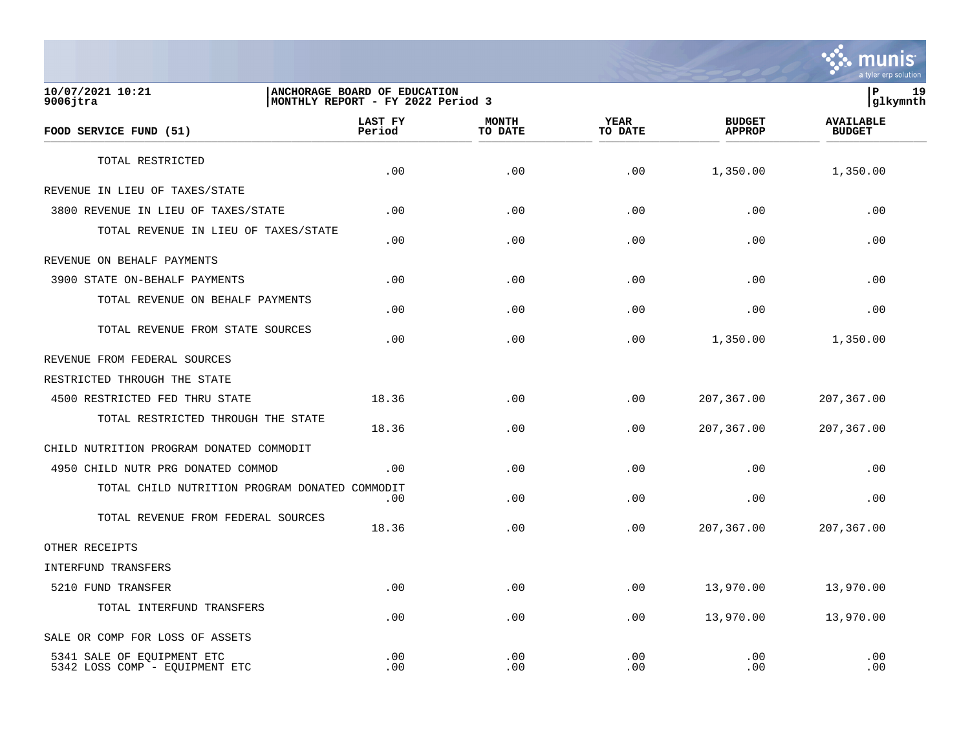

**10/07/2021 10:21 |ANCHORAGE BOARD OF EDUCATION |P 19** MONTHLY REPORT - FY 2022 Period 3  **LAST FY MONTH YEAR BUDGET AVAILABLE FOOD SERVICE FUND (51) Period TO DATE TO DATE APPROP BUDGET**   $\frac{10 \text{ BFR}}{10 \text{ BFR}}$ TOTAL RESTRICTED  $.00$   $.00$   $.00$   $.00$   $.00$   $.00$   $.00$   $.00$   $.00$   $.00$ REVENUE IN LIEU OF TAXES/STATE 3800 REVENUE IN LIEU OF TAXES/STATE .00 .00 .00 .00 .00 TOTAL REVENUE IN LIEU OF TAXES/STATE .00 .00 .00 .00 .00 REVENUE ON BEHALF PAYMENTS 3900 STATE ON-BEHALF PAYMENTS .00 .00 .00 .00 .00 TOTAL REVENUE ON BEHALF PAYMENTS  $.00$  .  $.00$  .  $.00$  .  $.00$  .  $.00$  .  $.00$  .  $.00$  .  $.00$  .  $.00$  .  $.00$  .  $.00$  .  $.00$  .  $.00$  .  $.00$  .  $.00$  .  $.00$  .  $.00$  .  $.00$  .  $.00$  .  $.00$  .  $.00$  .  $.00$  .  $.00$  .  $.00$  .  $.00$  .  $.00$  .  $.00$  .  $.00$ TOTAL REVENUE FROM STATE SOURCES  $.00$   $.00$   $.00$   $.00$   $.00$   $.00$   $.00$   $.00$   $.00$   $.00$ REVENUE FROM FEDERAL SOURCES RESTRICTED THROUGH THE STATE 4500 RESTRICTED FED THRU STATE 18.36 .00 .00 207,367.00 207,367.00 TOTAL RESTRICTED THROUGH THE STATE 18.36 .00 .00 207,367.00 207,367.00 CHILD NUTRITION PROGRAM DONATED COMMODIT 4950 CHILD NUTR PRG DONATED COMMOD .00 .00 .00 .00 .00 TOTAL CHILD NUTRITION PROGRAM DONATED COMMODIT  $.00$  .  $.00$  .  $.00$  .  $.00$  .  $.00$  .  $.00$  .  $.00$  .  $.00$  .  $.00$  .  $.00$  .  $.00$  .  $.00$  .  $.00$  .  $.00$  .  $.00$  .  $.00$  .  $.00$  .  $.00$  .  $.00$  .  $.00$  .  $.00$  .  $.00$  .  $.00$  .  $.00$  .  $.00$  .  $.00$  .  $.00$  .  $.00$ TOTAL REVENUE FROM FEDERAL SOURCES 18.36 .00 .00 207,367.00 207,367.00 OTHER RECEIPTS INTERFUND TRANSFERS 5210 FUND TRANSFER .00 .00 .00 13,970.00 13,970.00 TOTAL INTERFUND TRANSFERS  $.00$   $.00$   $.00$   $.00$   $.00$   $.00$   $.00$   $.00$   $.00$   $.00$ SALE OR COMP FOR LOSS OF ASSETS 5341 SALE OF EQUIPMENT ETC .00 .00 .00 .00 .00 5342 LOSS COMP - EQUIPMENT ETC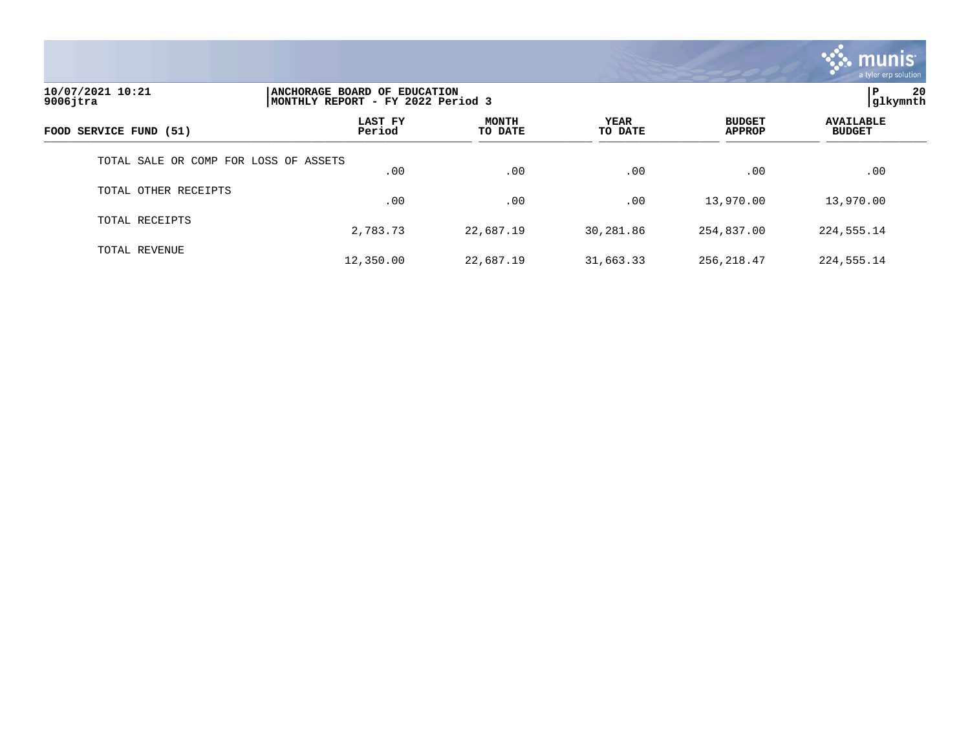

| 10/07/2021 10:21<br>$9006$ jtra       |                   | ANCHORAGE BOARD OF EDUCATION<br>MONTHLY REPORT - FY 2022 Period 3 |                 |                                |                                   |  |
|---------------------------------------|-------------------|-------------------------------------------------------------------|-----------------|--------------------------------|-----------------------------------|--|
| FOOD SERVICE FUND (51)                | LAST FY<br>Period | <b>MONTH</b><br>TO DATE                                           | YEAR<br>TO DATE | <b>BUDGET</b><br><b>APPROP</b> | <b>AVAILABLE</b><br><b>BUDGET</b> |  |
| TOTAL SALE OR COMP FOR LOSS OF ASSETS | .00               | .00                                                               | .00             | .00                            | .00                               |  |
| TOTAL OTHER RECEIPTS                  | .00               | .00                                                               | .00             | 13,970.00                      | 13,970.00                         |  |
| TOTAL RECEIPTS                        | 2,783.73          | 22,687.19                                                         | 30,281.86       | 254,837.00                     | 224,555.14                        |  |
| TOTAL REVENUE                         | 12,350.00         | 22,687.19                                                         | 31,663.33       | 256, 218.47                    | 224, 555. 14                      |  |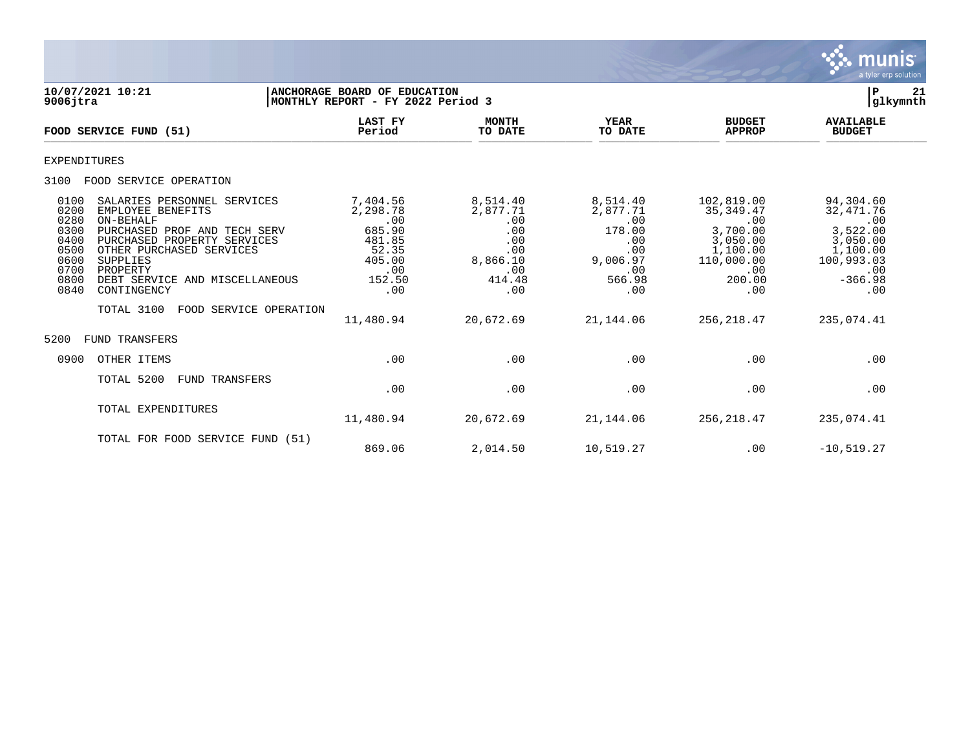

| 10/07/2021 10:21<br>$9006$ jtra                                                                                                                                                                                                                                                                                                                           | ANCHORAGE BOARD OF EDUCATION<br>MONTHLY REPORT - FY 2022 Period 3                          |                                                                                      |                                                                                         |                                                                                                           | 21<br>P<br>glkymnth                                                                                         |
|-----------------------------------------------------------------------------------------------------------------------------------------------------------------------------------------------------------------------------------------------------------------------------------------------------------------------------------------------------------|--------------------------------------------------------------------------------------------|--------------------------------------------------------------------------------------|-----------------------------------------------------------------------------------------|-----------------------------------------------------------------------------------------------------------|-------------------------------------------------------------------------------------------------------------|
| FOOD SERVICE FUND (51)                                                                                                                                                                                                                                                                                                                                    | <b>LAST FY</b><br>Period                                                                   | <b>MONTH</b><br>TO DATE                                                              | <b>YEAR</b><br>TO DATE                                                                  | <b>BUDGET</b><br><b>APPROP</b>                                                                            | <b>AVAILABLE</b><br><b>BUDGET</b>                                                                           |
| <b>EXPENDITURES</b>                                                                                                                                                                                                                                                                                                                                       |                                                                                            |                                                                                      |                                                                                         |                                                                                                           |                                                                                                             |
| FOOD SERVICE OPERATION<br>3100                                                                                                                                                                                                                                                                                                                            |                                                                                            |                                                                                      |                                                                                         |                                                                                                           |                                                                                                             |
| 0100<br>SALARIES PERSONNEL SERVICES<br>0200<br>EMPLOYEE BENEFITS<br>0280<br>ON-BEHALF<br>0300<br>PURCHASED PROF AND TECH SERV<br>0400<br>PURCHASED PROPERTY SERVICES<br>0500<br>OTHER PURCHASED SERVICES<br>SUPPLIES<br>0600<br>0700<br>PROPERTY<br>0800<br>DEBT SERVICE AND MISCELLANEOUS<br>0840<br>CONTINGENCY<br>TOTAL 3100<br>FOOD SERVICE OPERATION | 7,404.56<br>2,298.78<br>.00<br>685.90<br>481.85<br>52.35<br>405.00<br>.00<br>152.50<br>.00 | 8,514.40<br>2,877.71<br>.00<br>.00<br>.00<br>.00<br>8,866.10<br>.00<br>414.48<br>.00 | 8,514.40<br>2,877.71<br>.00<br>178.00<br>.00<br>.00<br>9,006.97<br>.00<br>566.98<br>.00 | 102,819.00<br>35, 349.47<br>.00<br>3,700.00<br>3,050.00<br>1,100.00<br>110,000.00<br>.00<br>200.00<br>.00 | 94,304.60<br>32, 471.76<br>.00<br>3,522.00<br>3,050.00<br>1,100.00<br>100,993.03<br>.00<br>$-366.98$<br>.00 |
| FUND TRANSFERS<br>5200                                                                                                                                                                                                                                                                                                                                    | 11,480.94                                                                                  | 20,672.69                                                                            | 21,144.06                                                                               | 256, 218.47                                                                                               | 235,074.41                                                                                                  |
| OTHER ITEMS<br>0900                                                                                                                                                                                                                                                                                                                                       | .00                                                                                        | .00                                                                                  | .00                                                                                     | .00                                                                                                       | .00                                                                                                         |
| TOTAL 5200<br><b>FUND TRANSFERS</b>                                                                                                                                                                                                                                                                                                                       | .00                                                                                        | .00                                                                                  | .00                                                                                     | .00                                                                                                       | .00                                                                                                         |
| TOTAL EXPENDITURES                                                                                                                                                                                                                                                                                                                                        | 11,480.94                                                                                  | 20,672.69                                                                            | 21,144.06                                                                               | 256,218.47                                                                                                | 235,074.41                                                                                                  |
| TOTAL FOR FOOD SERVICE FUND (51)                                                                                                                                                                                                                                                                                                                          | 869.06                                                                                     | 2,014.50                                                                             | 10,519.27                                                                               | .00                                                                                                       | $-10, 519.27$                                                                                               |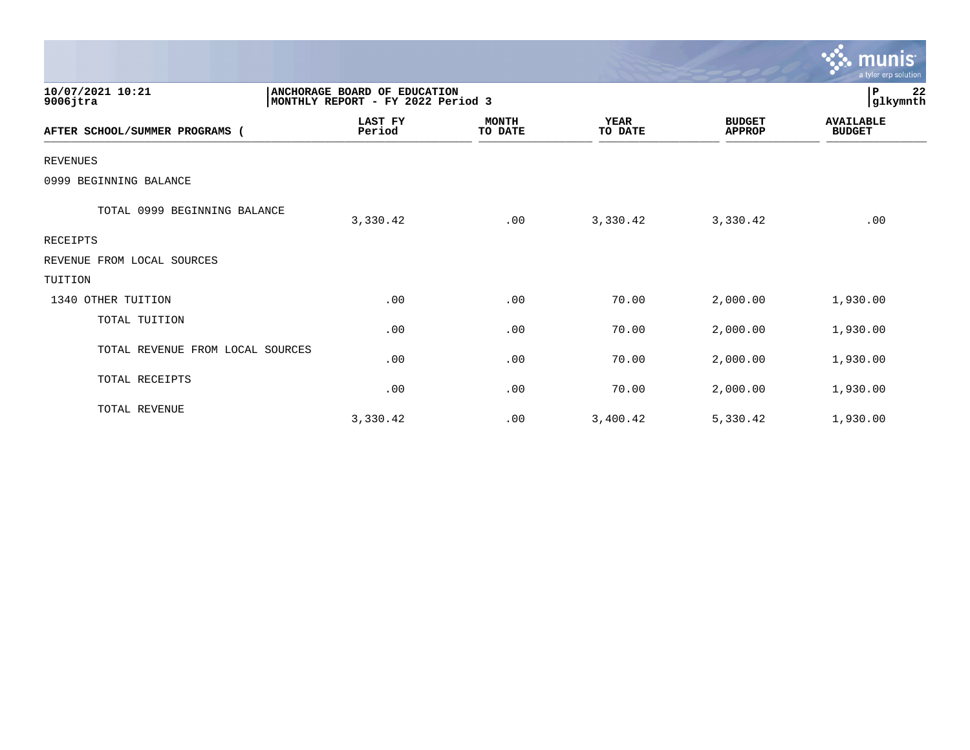|                                  |                                                                   |                         |                        |                                | munis<br>a tyler erp solution     |
|----------------------------------|-------------------------------------------------------------------|-------------------------|------------------------|--------------------------------|-----------------------------------|
| 10/07/2021 10:21<br>$9006$ jtra  | ANCHORAGE BOARD OF EDUCATION<br>MONTHLY REPORT - FY 2022 Period 3 |                         |                        |                                | 22<br>P<br>glkymnth               |
| AFTER SCHOOL/SUMMER PROGRAMS (   | <b>LAST FY</b><br>Period                                          | <b>MONTH</b><br>TO DATE | <b>YEAR</b><br>TO DATE | <b>BUDGET</b><br><b>APPROP</b> | <b>AVAILABLE</b><br><b>BUDGET</b> |
| <b>REVENUES</b>                  |                                                                   |                         |                        |                                |                                   |
| 0999 BEGINNING BALANCE           |                                                                   |                         |                        |                                |                                   |
| TOTAL 0999 BEGINNING BALANCE     | 3,330.42                                                          | .00                     | 3,330.42               | 3,330.42                       | .00                               |
| RECEIPTS                         |                                                                   |                         |                        |                                |                                   |
| REVENUE FROM LOCAL SOURCES       |                                                                   |                         |                        |                                |                                   |
| TUITION                          |                                                                   |                         |                        |                                |                                   |
| 1340 OTHER TUITION               | .00                                                               | .00                     | 70.00                  | 2,000.00                       | 1,930.00                          |
| TOTAL TUITION                    | .00                                                               | .00                     | 70.00                  | 2,000.00                       | 1,930.00                          |
| TOTAL REVENUE FROM LOCAL SOURCES | .00                                                               | .00                     | 70.00                  | 2,000.00                       | 1,930.00                          |
| TOTAL RECEIPTS                   | .00                                                               | .00                     | 70.00                  | 2,000.00                       | 1,930.00                          |
| TOTAL REVENUE                    | 3,330.42                                                          | .00                     | 3,400.42               | 5,330.42                       | 1,930.00                          |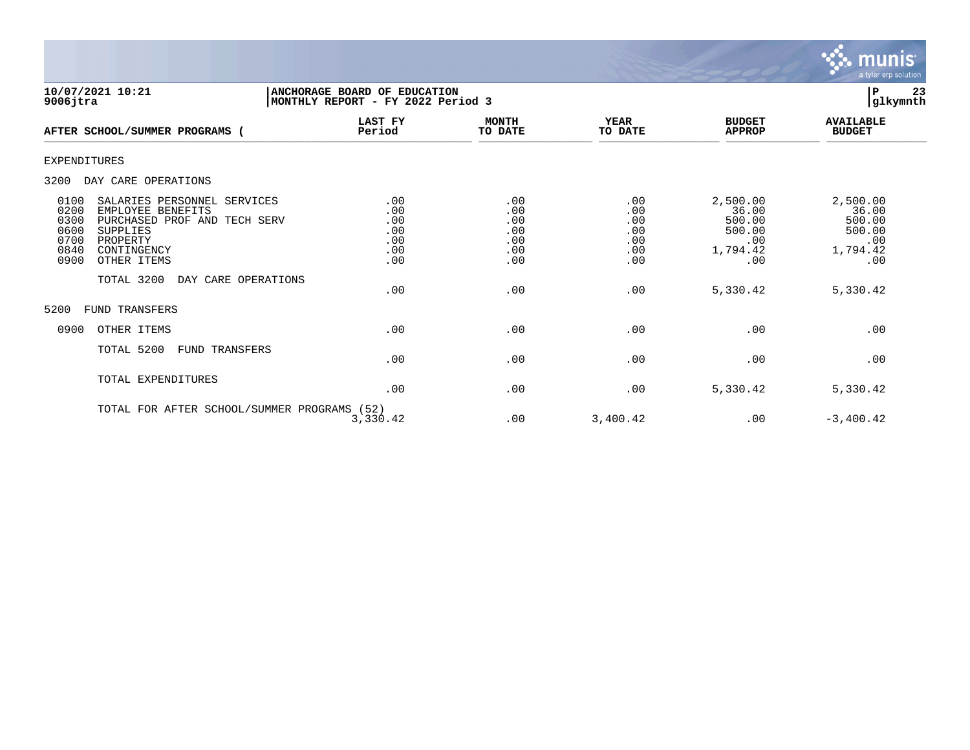

| 10/07/2021 10:21<br>$9006$ jtra                                                                                                                                                                                     | ANCHORAGE BOARD OF EDUCATION<br>MONTHLY REPORT - FY 2022 Period 3    |                                               |                                               |                                                                 | 23<br>ΙP<br>glkymnth                                            |
|---------------------------------------------------------------------------------------------------------------------------------------------------------------------------------------------------------------------|----------------------------------------------------------------------|-----------------------------------------------|-----------------------------------------------|-----------------------------------------------------------------|-----------------------------------------------------------------|
| AFTER SCHOOL/SUMMER PROGRAMS (                                                                                                                                                                                      | <b>LAST FY</b><br>Period                                             | <b>MONTH</b><br>TO DATE                       | <b>YEAR</b><br>TO DATE                        | <b>BUDGET</b><br><b>APPROP</b>                                  | <b>AVAILABLE</b><br><b>BUDGET</b>                               |
| EXPENDITURES                                                                                                                                                                                                        |                                                                      |                                               |                                               |                                                                 |                                                                 |
| DAY CARE OPERATIONS<br>3200                                                                                                                                                                                         |                                                                      |                                               |                                               |                                                                 |                                                                 |
| 0100<br>SALARIES PERSONNEL SERVICES<br>0200<br>EMPLOYEE BENEFITS<br>0300<br>PURCHASED PROF AND TECH SERV<br>0600<br><b>SUPPLIES</b><br>0700<br>PROPERTY<br>0840<br>CONTINGENCY<br>0900<br>OTHER ITEMS<br>TOTAL 3200 | .00<br>.00<br>.00<br>.00<br>.00<br>.00<br>.00<br>DAY CARE OPERATIONS | .00<br>.00<br>.00<br>.00<br>.00<br>.00<br>.00 | .00<br>.00<br>.00<br>.00<br>.00<br>.00<br>.00 | 2,500.00<br>36.00<br>500.00<br>500.00<br>.00<br>1,794.42<br>.00 | 2,500.00<br>36.00<br>500.00<br>500.00<br>.00<br>1,794.42<br>.00 |
|                                                                                                                                                                                                                     | .00                                                                  | .00                                           | .00                                           | 5,330.42                                                        | 5,330.42                                                        |
| 5200<br><b>FUND TRANSFERS</b>                                                                                                                                                                                       |                                                                      |                                               |                                               |                                                                 |                                                                 |
| 0900<br>OTHER ITEMS                                                                                                                                                                                                 | .00                                                                  | .00                                           | .00                                           | .00                                                             | .00                                                             |
| TOTAL 5200<br><b>FUND TRANSFERS</b>                                                                                                                                                                                 | .00                                                                  | .00                                           | .00                                           | .00                                                             | .00                                                             |
| TOTAL EXPENDITURES                                                                                                                                                                                                  | .00                                                                  | .00                                           | .00                                           | 5,330.42                                                        | 5,330.42                                                        |
|                                                                                                                                                                                                                     | TOTAL FOR AFTER SCHOOL/SUMMER PROGRAMS (52)<br>3,330.42              | .00                                           | 3,400.42                                      | .00                                                             | $-3,400.42$                                                     |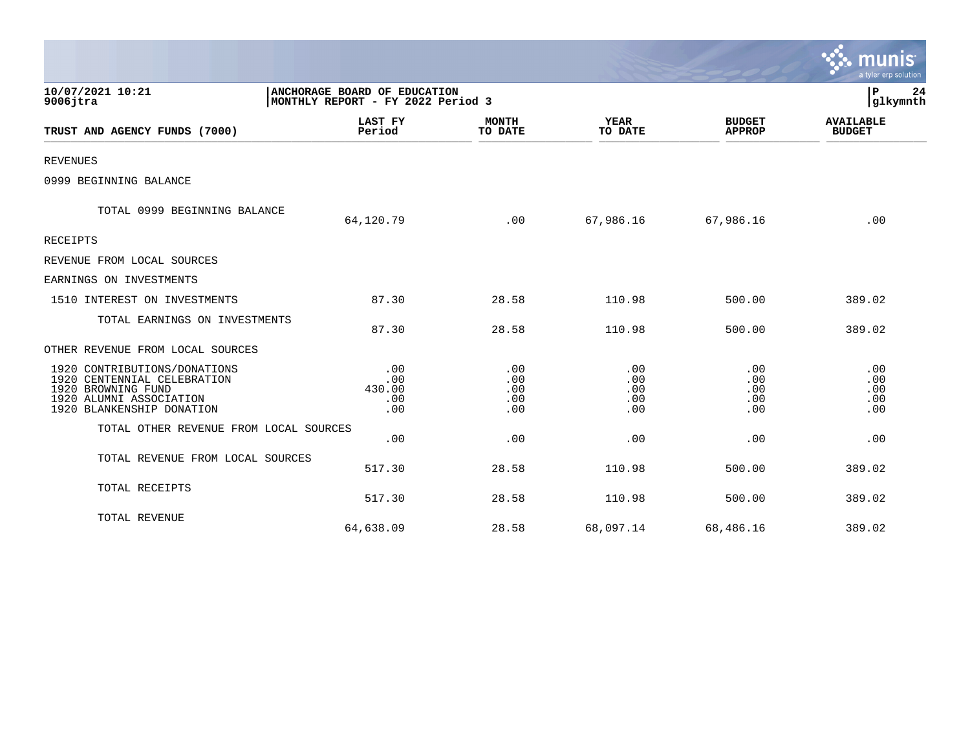|                                                                                                                                           |                                                                   |                                 |                                 |                                 | a tyler erp solution              |
|-------------------------------------------------------------------------------------------------------------------------------------------|-------------------------------------------------------------------|---------------------------------|---------------------------------|---------------------------------|-----------------------------------|
| 10/07/2021 10:21<br>$9006$ jtra                                                                                                           | ANCHORAGE BOARD OF EDUCATION<br>MONTHLY REPORT - FY 2022 Period 3 |                                 |                                 |                                 | P<br>24<br>glkymnth               |
| TRUST AND AGENCY FUNDS (7000)                                                                                                             | <b>LAST FY</b><br>Period                                          | <b>MONTH</b><br>TO DATE         | <b>YEAR</b><br>TO DATE          | <b>BUDGET</b><br><b>APPROP</b>  | <b>AVAILABLE</b><br><b>BUDGET</b> |
| <b>REVENUES</b>                                                                                                                           |                                                                   |                                 |                                 |                                 |                                   |
| 0999 BEGINNING BALANCE                                                                                                                    |                                                                   |                                 |                                 |                                 |                                   |
| TOTAL 0999 BEGINNING BALANCE                                                                                                              | 64,120.79                                                         | .00                             | 67,986.16                       | 67,986.16                       | .00                               |
| RECEIPTS                                                                                                                                  |                                                                   |                                 |                                 |                                 |                                   |
| REVENUE FROM LOCAL SOURCES                                                                                                                |                                                                   |                                 |                                 |                                 |                                   |
| EARNINGS ON INVESTMENTS                                                                                                                   |                                                                   |                                 |                                 |                                 |                                   |
| 1510 INTEREST ON INVESTMENTS                                                                                                              | 87.30                                                             | 28.58                           | 110.98                          | 500.00                          | 389.02                            |
| TOTAL EARNINGS ON INVESTMENTS                                                                                                             | 87.30                                                             | 28.58                           | 110.98                          | 500.00                          | 389.02                            |
| OTHER REVENUE FROM LOCAL SOURCES                                                                                                          |                                                                   |                                 |                                 |                                 |                                   |
| 1920 CONTRIBUTIONS/DONATIONS<br>1920 CENTENNIAL CELEBRATION<br>1920 BROWNING FUND<br>1920 ALUMNI ASSOCIATION<br>1920 BLANKENSHIP DONATION | .00<br>.00<br>430.00<br>.00<br>.00                                | .00<br>.00<br>.00<br>.00<br>.00 | .00<br>.00<br>.00<br>.00<br>.00 | .00<br>.00<br>.00<br>.00<br>.00 | .00<br>.00<br>.00<br>.00<br>.00   |
| TOTAL OTHER REVENUE FROM LOCAL SOURCES                                                                                                    | .00                                                               | .00                             | .00                             | .00                             | .00                               |
| TOTAL REVENUE FROM LOCAL SOURCES                                                                                                          | 517.30                                                            | 28.58                           | 110.98                          | 500.00                          | 389.02                            |
| TOTAL RECEIPTS                                                                                                                            | 517.30                                                            | 28.58                           | 110.98                          | 500.00                          | 389.02                            |
| TOTAL REVENUE                                                                                                                             | 64,638.09                                                         | 28.58                           | 68,097.14                       | 68,486.16                       | 389.02                            |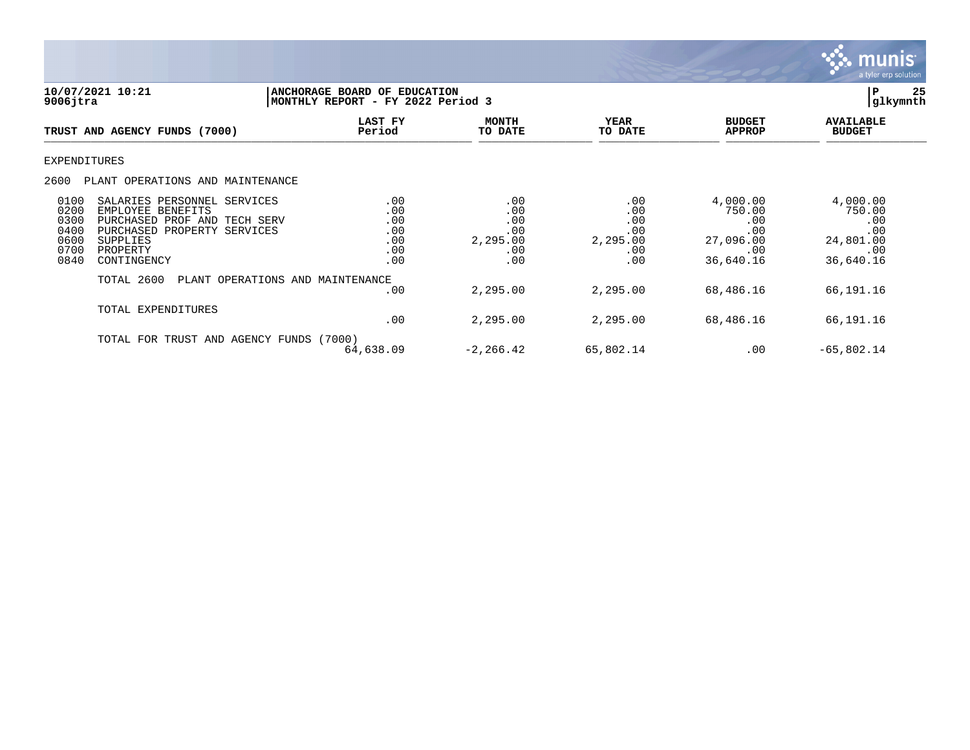

**10/07/2021 10:21 |ANCHORAGE BOARD OF EDUCATION |P 25** MONTHLY REPORT - FY 2022 Period 3  **LAST FY MONTH YEAR BUDGET AVAILABLE TRUST AND AGENCY FUNDS (7000) Period TO DATE TO DATE APPROP BUDGET**  \_\_\_\_\_\_\_\_\_\_\_\_\_\_\_\_\_\_\_\_\_\_\_\_\_\_\_\_\_\_\_\_\_\_\_\_\_\_\_\_\_\_\_\_\_\_\_\_\_\_\_\_\_\_\_\_\_\_\_\_\_\_\_\_ \_\_\_\_\_\_\_\_\_\_\_\_\_\_\_\_\_ \_\_\_\_\_\_\_\_\_\_\_\_\_\_\_\_\_\_ \_\_\_\_\_\_\_\_\_\_\_\_\_\_ \_\_\_\_\_\_\_\_\_\_\_\_\_\_\_ EXPENDITURES 2600 PLANT OPERATIONS AND MAINTENANCE 0100 SALARIES PERSONNEL SERVICES .00 .00 .00 4,000.00 4,000.00 0200 EMPLOYEE BENEFITS .00 .00 .00 750.00 750.00 0300 PURCHASED PROF AND TECH SERV .00 .00 .00 .00 .00 0400 PURCHASED PROPERTY SERVICES .00 .00 .00 .00 .00 0600 SUPPLIES .00 2,295.00 2,295.00 27,096.00 24,801.00 0700 PROPERTY .00 .00 .00 .00 .00 0840 CONTINGENCY .00 .00 .00 .00 .00 .00 .00 .00 .00 36,640.16 36,640.16 TOTAL 2600 PLANT OPERATIONS AND MAINTENANCE .00 2,295.00 2,295.00 68,486.16 66,191.16 TOTAL EXPENDITURES .00 2,295.00 2,295.00 68,486.16 66,191.16 TOTAL FOR TRUST AND AGENCY FUNDS (7000) 64,638.09 -2,266.42 65,802.14 .00 -65,802.14